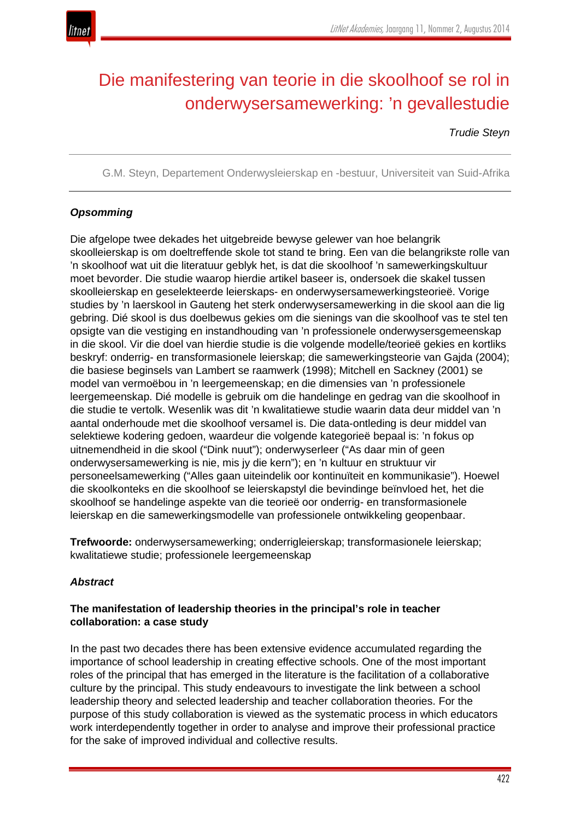

# Die manifestering van teorie in die skoolhoof se rol in onderwysersamewerking: 'n gevallestudie

*Trudie Steyn*

G.M. Steyn, Departement Onderwysleierskap en -bestuur, Universiteit van Suid-Afrika

# *Opsomming*

Die afgelope twee dekades het uitgebreide bewyse gelewer van hoe belangrik skoolleierskap is om doeltreffende skole tot stand te bring. Een van die belangrikste rolle van 'n skoolhoof wat uit die literatuur geblyk het, is dat die skoolhoof 'n samewerkingskultuur moet bevorder. Die studie waarop hierdie artikel baseer is, ondersoek die skakel tussen skoolleierskap en geselekteerde leierskaps- en onderwysersamewerkingsteorieë. Vorige studies by 'n laerskool in Gauteng het sterk onderwysersamewerking in die skool aan die lig gebring. Dié skool is dus doelbewus gekies om die sienings van die skoolhoof vas te stel ten opsigte van die vestiging en instandhouding van 'n professionele onderwysersgemeenskap in die skool. Vir die doel van hierdie studie is die volgende modelle/teorieë gekies en kortliks beskryf: onderrig- en transformasionele leierskap; die samewerkingsteorie van Gajda (2004); die basiese beginsels van Lambert se raamwerk (1998); Mitchell en Sackney (2001) se model van vermoëbou in 'n leergemeenskap; en die dimensies van 'n professionele leergemeenskap. Dié modelle is gebruik om die handelinge en gedrag van die skoolhoof in die studie te vertolk. Wesenlik was dit 'n kwalitatiewe studie waarin data deur middel van 'n aantal onderhoude met die skoolhoof versamel is. Die data-ontleding is deur middel van selektiewe kodering gedoen, waardeur die volgende kategorieë bepaal is: 'n fokus op uitnemendheid in die skool ("Dink nuut"); onderwyserleer ("As daar min of geen onderwysersamewerking is nie, mis jy die kern"); en 'n kultuur en struktuur vir personeelsamewerking ("Alles gaan uiteindelik oor kontinuïteit en kommunikasie"). Hoewel die skoolkonteks en die skoolhoof se leierskapstyl die bevindinge beïnvloed het, het die skoolhoof se handelinge aspekte van die teorieë oor onderrig- en transformasionele leierskap en die samewerkingsmodelle van professionele ontwikkeling geopenbaar.

**Trefwoorde:** onderwysersamewerking; onderrigleierskap; transformasionele leierskap; kwalitatiewe studie; professionele leergemeenskap

## *Abstract*

## **The manifestation of leadership theories in the principal's role in teacher collaboration: a case study**

In the past two decades there has been extensive evidence accumulated regarding the importance of school leadership in creating effective schools. One of the most important roles of the principal that has emerged in the literature is the facilitation of a collaborative culture by the principal. This study endeavours to investigate the link between a school leadership theory and selected leadership and teacher collaboration theories. For the purpose of this study collaboration is viewed as the systematic process in which educators work interdependently together in order to analyse and improve their professional practice for the sake of improved individual and collective results.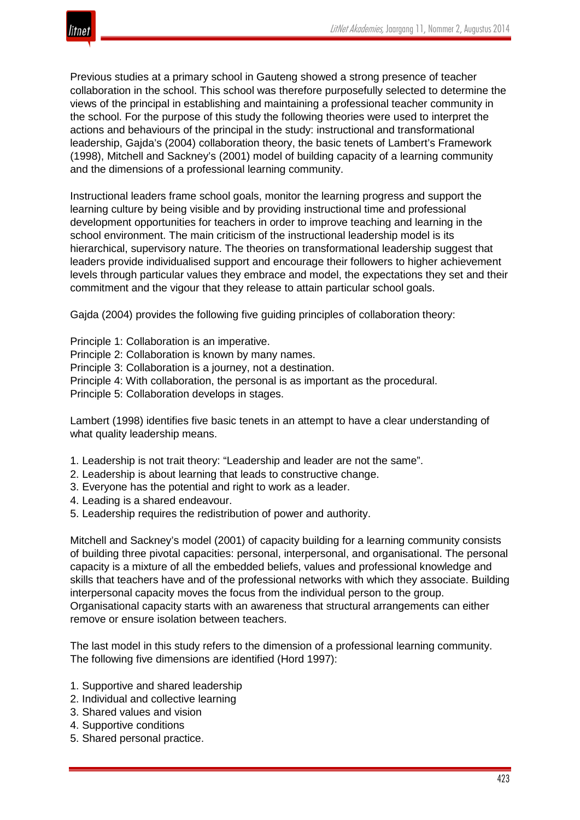

Previous studies at a primary school in Gauteng showed a strong presence of teacher collaboration in the school. This school was therefore purposefully selected to determine the views of the principal in establishing and maintaining a professional teacher community in the school. For the purpose of this study the following theories were used to interpret the actions and behaviours of the principal in the study: instructional and transformational leadership, Gajda's (2004) collaboration theory, the basic tenets of Lambert's Framework (1998), Mitchell and Sackney's (2001) model of building capacity of a learning community and the dimensions of a professional learning community.

Instructional leaders frame school goals, monitor the learning progress and support the learning culture by being visible and by providing instructional time and professional development opportunities for teachers in order to improve teaching and learning in the school environment. The main criticism of the instructional leadership model is its hierarchical, supervisory nature. The theories on transformational leadership suggest that leaders provide individualised support and encourage their followers to higher achievement levels through particular values they embrace and model, the expectations they set and their commitment and the vigour that they release to attain particular school goals.

Gajda (2004) provides the following five guiding principles of collaboration theory:

Principle 1: Collaboration is an imperative.

- Principle 2: Collaboration is known by many names.
- Principle 3: Collaboration is a journey, not a destination.
- Principle 4: With collaboration, the personal is as important as the procedural.

Principle 5: Collaboration develops in stages.

Lambert (1998) identifies five basic tenets in an attempt to have a clear understanding of what quality leadership means.

- 1. Leadership is not trait theory: "Leadership and leader are not the same".
- 2. Leadership is about learning that leads to constructive change.
- 3. Everyone has the potential and right to work as a leader.
- 4. Leading is a shared endeavour.
- 5. Leadership requires the redistribution of power and authority.

Mitchell and Sackney's model (2001) of capacity building for a learning community consists of building three pivotal capacities: personal, interpersonal, and organisational. The personal capacity is a mixture of all the embedded beliefs, values and professional knowledge and skills that teachers have and of the professional networks with which they associate. Building interpersonal capacity moves the focus from the individual person to the group. Organisational capacity starts with an awareness that structural arrangements can either remove or ensure isolation between teachers.

The last model in this study refers to the dimension of a professional learning community. The following five dimensions are identified (Hord 1997):

- 1. Supportive and shared leadership
- 2. Individual and collective learning
- 3. Shared values and vision
- 4. Supportive conditions
- 5. Shared personal practice.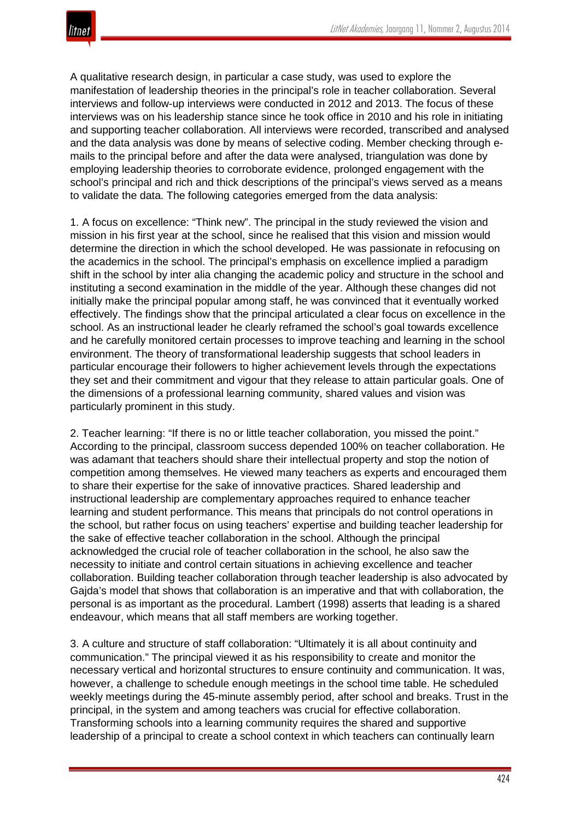A qualitative research design, in particular a case study, was used to explore the manifestation of leadership theories in the principal's role in teacher collaboration. Several interviews and follow-up interviews were conducted in 2012 and 2013. The focus of these interviews was on his leadership stance since he took office in 2010 and his role in initiating and supporting teacher collaboration. All interviews were recorded, transcribed and analysed and the data analysis was done by means of selective coding. Member checking through emails to the principal before and after the data were analysed, triangulation was done by employing leadership theories to corroborate evidence, prolonged engagement with the school's principal and rich and thick descriptions of the principal's views served as a means to validate the data. The following categories emerged from the data analysis:

1. A focus on excellence: "Think new". The principal in the study reviewed the vision and mission in his first year at the school, since he realised that this vision and mission would determine the direction in which the school developed. He was passionate in refocusing on the academics in the school. The principal's emphasis on excellence implied a paradigm shift in the school by inter alia changing the academic policy and structure in the school and instituting a second examination in the middle of the year. Although these changes did not initially make the principal popular among staff, he was convinced that it eventually worked effectively. The findings show that the principal articulated a clear focus on excellence in the school. As an instructional leader he clearly reframed the school's goal towards excellence and he carefully monitored certain processes to improve teaching and learning in the school environment. The theory of transformational leadership suggests that school leaders in particular encourage their followers to higher achievement levels through the expectations they set and their commitment and vigour that they release to attain particular goals. One of the dimensions of a professional learning community, shared values and vision was particularly prominent in this study.

2. Teacher learning: "If there is no or little teacher collaboration, you missed the point." According to the principal, classroom success depended 100% on teacher collaboration. He was adamant that teachers should share their intellectual property and stop the notion of competition among themselves. He viewed many teachers as experts and encouraged them to share their expertise for the sake of innovative practices. Shared leadership and instructional leadership are complementary approaches required to enhance teacher learning and student performance. This means that principals do not control operations in the school, but rather focus on using teachers' expertise and building teacher leadership for the sake of effective teacher collaboration in the school. Although the principal acknowledged the crucial role of teacher collaboration in the school, he also saw the necessity to initiate and control certain situations in achieving excellence and teacher collaboration. Building teacher collaboration through teacher leadership is also advocated by Gajda's model that shows that collaboration is an imperative and that with collaboration, the personal is as important as the procedural. Lambert (1998) asserts that leading is a shared endeavour, which means that all staff members are working together.

3. A culture and structure of staff collaboration: "Ultimately it is all about continuity and communication." The principal viewed it as his responsibility to create and monitor the necessary vertical and horizontal structures to ensure continuity and communication. It was, however, a challenge to schedule enough meetings in the school time table. He scheduled weekly meetings during the 45-minute assembly period, after school and breaks. Trust in the principal, in the system and among teachers was crucial for effective collaboration. Transforming schools into a learning community requires the shared and supportive leadership of a principal to create a school context in which teachers can continually learn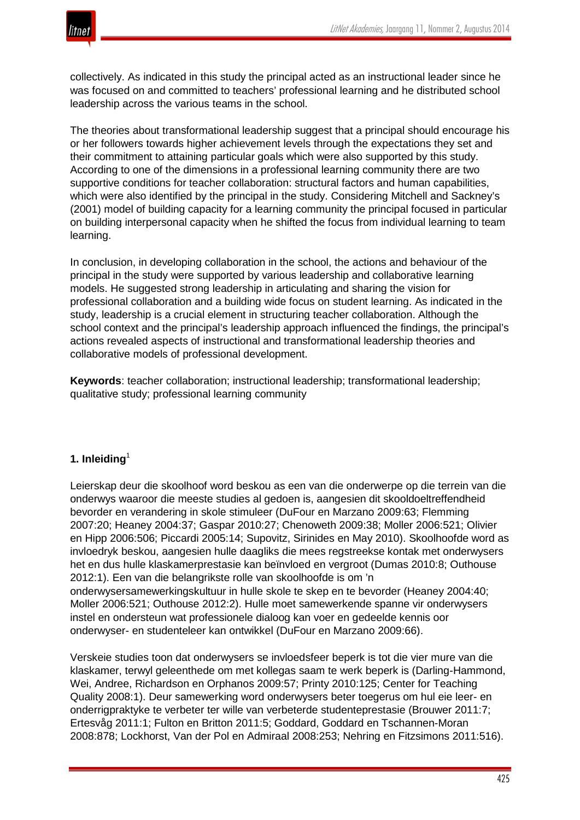

collectively. As indicated in this study the principal acted as an instructional leader since he was focused on and committed to teachers' professional learning and he distributed school leadership across the various teams in the school.

The theories about transformational leadership suggest that a principal should encourage his or her followers towards higher achievement levels through the expectations they set and their commitment to attaining particular goals which were also supported by this study. According to one of the dimensions in a professional learning community there are two supportive conditions for teacher collaboration: structural factors and human capabilities, which were also identified by the principal in the study. Considering Mitchell and Sackney's (2001) model of building capacity for a learning community the principal focused in particular on building interpersonal capacity when he shifted the focus from individual learning to team learning.

In conclusion, in developing collaboration in the school, the actions and behaviour of the principal in the study were supported by various leadership and collaborative learning models. He suggested strong leadership in articulating and sharing the vision for professional collaboration and a building wide focus on student learning. As indicated in the study, leadership is a crucial element in structuring teacher collaboration. Although the school context and the principal's leadership approach influenced the findings, the principal's actions revealed aspects of instructional and transformational leadership theories and collaborative models of professional development.

**Keywords**: teacher collaboration; instructional leadership; transformational leadership; qualitative study; professional learning community

## **1. Inleiding**<sup>1</sup>

Leierskap deur die skoolhoof word beskou as een van die onderwerpe op die terrein van die onderwys waaroor die meeste studies al gedoen is, aangesien dit skooldoeltreffendheid bevorder en verandering in skole stimuleer (DuFour en Marzano 2009:63; Flemming 2007:20; Heaney 2004:37; Gaspar 2010:27; Chenoweth 2009:38; Moller 2006:521; Olivier en Hipp 2006:506; Piccardi 2005:14; Supovitz, Sirinides en May 2010). Skoolhoofde word as invloedryk beskou, aangesien hulle daagliks die mees regstreekse kontak met onderwysers het en dus hulle klaskamerprestasie kan beïnvloed en vergroot (Dumas 2010:8; Outhouse 2012:1). Een van die belangrikste rolle van skoolhoofde is om 'n onderwysersamewerkingskultuur in hulle skole te skep en te bevorder (Heaney 2004:40; Moller 2006:521; Outhouse 2012:2). Hulle moet samewerkende spanne vir onderwysers instel en ondersteun wat professionele dialoog kan voer en gedeelde kennis oor onderwyser- en studenteleer kan ontwikkel (DuFour en Marzano 2009:66).

Verskeie studies toon dat onderwysers se invloedsfeer beperk is tot die vier mure van die klaskamer, terwyl geleenthede om met kollegas saam te werk beperk is (Darling-Hammond, Wei, Andree, Richardson en Orphanos 2009:57; Printy 2010:125; Center for Teaching Quality 2008:1). Deur samewerking word onderwysers beter toegerus om hul eie leer- en onderrigpraktyke te verbeter ter wille van verbeterde studenteprestasie (Brouwer 2011:7; Ertesvåg 2011:1; Fulton en Britton 2011:5; Goddard, Goddard en Tschannen-Moran 2008:878; Lockhorst, Van der Pol en Admiraal 2008:253; Nehring en Fitzsimons 2011:516).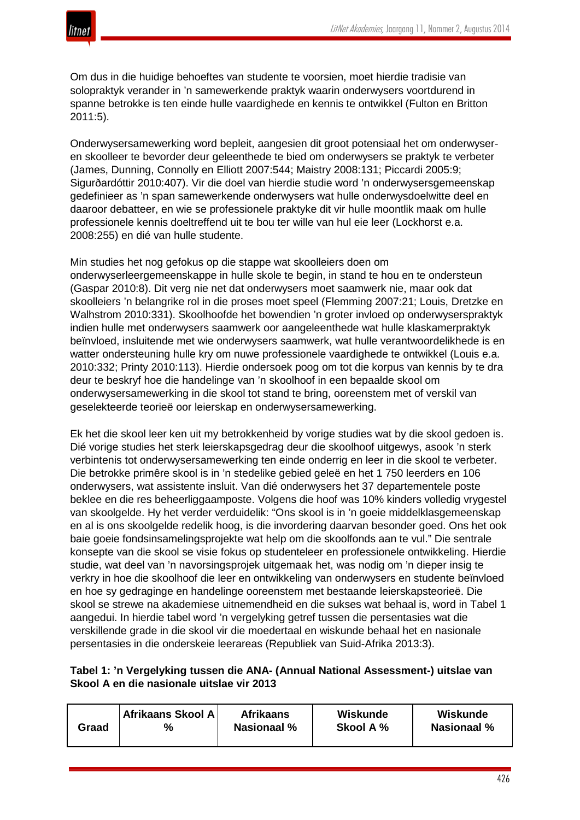

Om dus in die huidige behoeftes van studente te voorsien, moet hierdie tradisie van solopraktyk verander in 'n samewerkende praktyk waarin onderwysers voortdurend in spanne betrokke is ten einde hulle vaardighede en kennis te ontwikkel (Fulton en Britton 2011:5).

Onderwysersamewerking word bepleit, aangesien dit groot potensiaal het om onderwyseren skoolleer te bevorder deur geleenthede te bied om onderwysers se praktyk te verbeter (James, Dunning, Connolly en Elliott 2007:544; Maistry 2008:131; Piccardi 2005:9; Sigurðardóttir 2010:407). Vir die doel van hierdie studie word 'n onderwysersgemeenskap gedefinieer as 'n span samewerkende onderwysers wat hulle onderwysdoelwitte deel en daaroor debatteer, en wie se professionele praktyke dit vir hulle moontlik maak om hulle professionele kennis doeltreffend uit te bou ter wille van hul eie leer (Lockhorst e.a. 2008:255) en dié van hulle studente.

Min studies het nog gefokus op die stappe wat skoolleiers doen om onderwyserleergemeenskappe in hulle skole te begin, in stand te hou en te ondersteun (Gaspar 2010:8). Dit verg nie net dat onderwysers moet saamwerk nie, maar ook dat skoolleiers 'n belangrike rol in die proses moet speel (Flemming 2007:21; Louis, Dretzke en Walhstrom 2010:331). Skoolhoofde het bowendien 'n groter invloed op onderwyserspraktyk indien hulle met onderwysers saamwerk oor aangeleenthede wat hulle klaskamerpraktyk beïnvloed, insluitende met wie onderwysers saamwerk, wat hulle verantwoordelikhede is en watter ondersteuning hulle kry om nuwe professionele vaardighede te ontwikkel (Louis e.a. 2010:332; Printy 2010:113). Hierdie ondersoek poog om tot die korpus van kennis by te dra deur te beskryf hoe die handelinge van 'n skoolhoof in een bepaalde skool om onderwysersamewerking in die skool tot stand te bring, ooreenstem met of verskil van geselekteerde teorieë oor leierskap en onderwysersamewerking.

Ek het die skool leer ken uit my betrokkenheid by vorige studies wat by die skool gedoen is. Dié vorige studies het sterk leierskapsgedrag deur die skoolhoof uitgewys, asook 'n sterk verbintenis tot onderwysersamewerking ten einde onderrig en leer in die skool te verbeter. Die betrokke primêre skool is in 'n stedelike gebied geleë en het 1 750 leerders en 106 onderwysers, wat assistente insluit. Van dié onderwysers het 37 departementele poste beklee en die res beheerliggaamposte. Volgens die hoof was 10% kinders volledig vrygestel van skoolgelde. Hy het verder verduidelik: "Ons skool is in 'n goeie middelklasgemeenskap en al is ons skoolgelde redelik hoog, is die invordering daarvan besonder goed. Ons het ook baie goeie fondsinsamelingsprojekte wat help om die skoolfonds aan te vul." Die sentrale konsepte van die skool se visie fokus op studenteleer en professionele ontwikkeling. Hierdie studie, wat deel van 'n navorsingsprojek uitgemaak het, was nodig om 'n dieper insig te verkry in hoe die skoolhoof die leer en ontwikkeling van onderwysers en studente beïnvloed en hoe sy gedraginge en handelinge ooreenstem met bestaande leierskapsteorieë. Die skool se strewe na akademiese uitnemendheid en die sukses wat behaal is, word in Tabel 1 aangedui. In hierdie tabel word 'n vergelyking getref tussen die persentasies wat die verskillende grade in die skool vir die moedertaal en wiskunde behaal het en nasionale persentasies in die onderskeie leerareas (Republiek van Suid-Afrika 2013:3).

## **Tabel 1: 'n Vergelyking tussen die ANA- (Annual National Assessment-) uitslae van Skool A en die nasionale uitslae vir 2013**

| Afrikaans Skool A<br>%<br>Graad | <b>Afrikaans</b><br><b>Nasionaal %</b> | Wiskunde<br>Skool A % | Wiskunde<br><b>Nasionaal</b> % |
|---------------------------------|----------------------------------------|-----------------------|--------------------------------|
|---------------------------------|----------------------------------------|-----------------------|--------------------------------|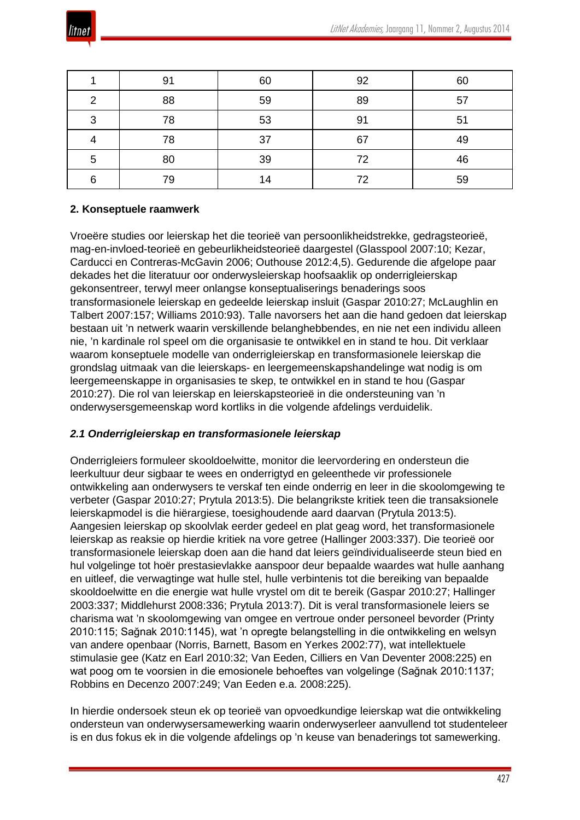

|   | 91 | 60 | 92 | 60 |
|---|----|----|----|----|
| 2 | 88 | 59 | 89 | 57 |
| 3 | 78 | 53 | 91 | 51 |
|   | 78 | 37 | 67 | 49 |
| 5 | 80 | 39 | 72 | 46 |
| 6 | 79 | 14 | 72 | 59 |

# **2. Konseptuele raamwerk**

Vroeëre studies oor leierskap het die teorieë van persoonlikheidstrekke, gedragsteorieë, mag-en-invloed-teorieë en gebeurlikheidsteorieë daargestel (Glasspool 2007:10; Kezar, Carducci en Contreras-McGavin 2006; Outhouse 2012:4,5). Gedurende die afgelope paar dekades het die literatuur oor onderwysleierskap hoofsaaklik op onderrigleierskap gekonsentreer, terwyl meer onlangse konseptualiserings benaderings soos transformasionele leierskap en gedeelde leierskap insluit (Gaspar 2010:27; McLaughlin en Talbert 2007:157; Williams 2010:93). Talle navorsers het aan die hand gedoen dat leierskap bestaan uit 'n netwerk waarin verskillende belanghebbendes, en nie net een individu alleen nie, 'n kardinale rol speel om die organisasie te ontwikkel en in stand te hou. Dit verklaar waarom konseptuele modelle van onderrigleierskap en transformasionele leierskap die grondslag uitmaak van die leierskaps- en leergemeenskapshandelinge wat nodig is om leergemeenskappe in organisasies te skep, te ontwikkel en in stand te hou (Gaspar 2010:27). Die rol van leierskap en leierskapsteorieë in die ondersteuning van 'n onderwysersgemeenskap word kortliks in die volgende afdelings verduidelik.

## *2.1 Onderrigleierskap en transformasionele leierskap*

Onderrigleiers formuleer skooldoelwitte, monitor die leervordering en ondersteun die leerkultuur deur sigbaar te wees en onderrigtyd en geleenthede vir professionele ontwikkeling aan onderwysers te verskaf ten einde onderrig en leer in die skoolomgewing te verbeter (Gaspar 2010:27; Prytula 2013:5). Die belangrikste kritiek teen die transaksionele leierskapmodel is die hiërargiese, toesighoudende aard daarvan (Prytula 2013:5). Aangesien leierskap op skoolvlak eerder gedeel en plat geag word, het transformasionele leierskap as reaksie op hierdie kritiek na vore getree (Hallinger 2003:337). Die teorieë oor transformasionele leierskap doen aan die hand dat leiers geïndividualiseerde steun bied en hul volgelinge tot hoër prestasievlakke aanspoor deur bepaalde waardes wat hulle aanhang en uitleef, die verwagtinge wat hulle stel, hulle verbintenis tot die bereiking van bepaalde skooldoelwitte en die energie wat hulle vrystel om dit te bereik (Gaspar 2010:27; Hallinger 2003:337; Middlehurst 2008:336; Prytula 2013:7). Dit is veral transformasionele leiers se charisma wat 'n skoolomgewing van omgee en vertroue onder personeel bevorder (Printy 2010:115; Sağnak 2010:1145), wat 'n opregte belangstelling in die ontwikkeling en welsyn van andere openbaar (Norris, Barnett, Basom en Yerkes 2002:77), wat intellektuele stimulasie gee (Katz en Earl 2010:32; Van Eeden, Cilliers en Van Deventer 2008:225) en wat poog om te voorsien in die emosionele behoeftes van volgelinge (Sağnak 2010:1137; Robbins en Decenzo 2007:249; Van Eeden e.a. 2008:225).

In hierdie ondersoek steun ek op teorieë van opvoedkundige leierskap wat die ontwikkeling ondersteun van onderwysersamewerking waarin onderwyserleer aanvullend tot studenteleer is en dus fokus ek in die volgende afdelings op 'n keuse van benaderings tot samewerking.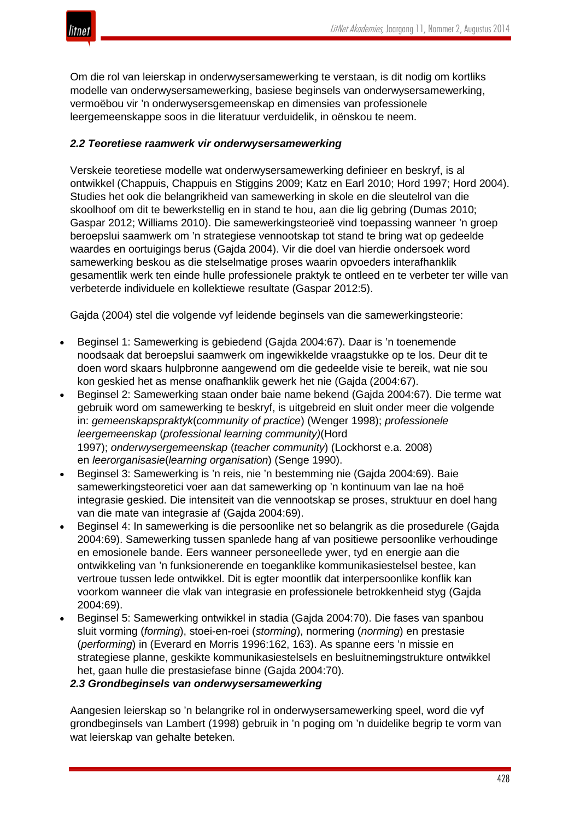

Om die rol van leierskap in onderwysersamewerking te verstaan, is dit nodig om kortliks modelle van onderwysersamewerking, basiese beginsels van onderwysersamewerking, vermoëbou vir 'n onderwysersgemeenskap en dimensies van professionele leergemeenskappe soos in die literatuur verduidelik, in oënskou te neem.

# *2.2 Teoretiese raamwerk vir onderwysersamewerking*

Verskeie teoretiese modelle wat onderwysersamewerking definieer en beskryf, is al ontwikkel (Chappuis, Chappuis en Stiggins 2009; Katz en Earl 2010; Hord 1997; Hord 2004). Studies het ook die belangrikheid van samewerking in skole en die sleutelrol van die skoolhoof om dit te bewerkstellig en in stand te hou, aan die lig gebring (Dumas 2010; Gaspar 2012; Williams 2010). Die samewerkingsteorieë vind toepassing wanneer 'n groep beroepslui saamwerk om 'n strategiese vennootskap tot stand te bring wat op gedeelde waardes en oortuigings berus (Gajda 2004). Vir die doel van hierdie ondersoek word samewerking beskou as die stelselmatige proses waarin opvoeders interafhanklik gesamentlik werk ten einde hulle professionele praktyk te ontleed en te verbeter ter wille van verbeterde individuele en kollektiewe resultate (Gaspar 2012:5).

Gajda (2004) stel die volgende vyf leidende beginsels van die samewerkingsteorie:

- Beginsel 1: Samewerking is gebiedend (Gajda 2004:67). Daar is 'n toenemende noodsaak dat beroepslui saamwerk om ingewikkelde vraagstukke op te los. Deur dit te doen word skaars hulpbronne aangewend om die gedeelde visie te bereik, wat nie sou kon geskied het as mense onafhanklik gewerk het nie (Gajda (2004:67).
- Beginsel 2: Samewerking staan onder baie name bekend (Gajda 2004:67). Die terme wat gebruik word om samewerking te beskryf, is uitgebreid en sluit onder meer die volgende in: *gemeenskapspraktyk*(*community of practice*) (Wenger 1998); *professionele leergemeenskap* (*professional learning community)*(Hord 1997); *onderwysergemeenskap* (*teacher community*) (Lockhorst e.a. 2008) en *leerorganisasie*(*learning organisation*) (Senge 1990).
- Beginsel 3: Samewerking is 'n reis, nie 'n bestemming nie (Gajda 2004:69). Baie samewerkingsteoretici voer aan dat samewerking op 'n kontinuum van lae na hoë integrasie geskied. Die intensiteit van die vennootskap se proses, struktuur en doel hang van die mate van integrasie af (Gajda 2004:69).
- Beginsel 4: In samewerking is die persoonlike net so belangrik as die prosedurele (Gajda 2004:69). Samewerking tussen spanlede hang af van positiewe persoonlike verhoudinge en emosionele bande. Eers wanneer personeellede ywer, tyd en energie aan die ontwikkeling van 'n funksionerende en toeganklike kommunikasiestelsel bestee, kan vertroue tussen lede ontwikkel. Dit is egter moontlik dat interpersoonlike konflik kan voorkom wanneer die vlak van integrasie en professionele betrokkenheid styg (Gajda 2004:69).
- Beginsel 5: Samewerking ontwikkel in stadia (Gajda 2004:70). Die fases van spanbou sluit vorming (*forming*), stoei-en-roei (*storming*), normering (*norming*) en prestasie (*performing*) in (Everard en Morris 1996:162, 163). As spanne eers 'n missie en strategiese planne, geskikte kommunikasiestelsels en besluitnemingstrukture ontwikkel het, gaan hulle die prestasiefase binne (Gajda 2004:70).

## *2.3 Grondbeginsels van onderwysersamewerking*

Aangesien leierskap so 'n belangrike rol in onderwysersamewerking speel, word die vyf grondbeginsels van Lambert (1998) gebruik in 'n poging om 'n duidelike begrip te vorm van wat leierskap van gehalte beteken.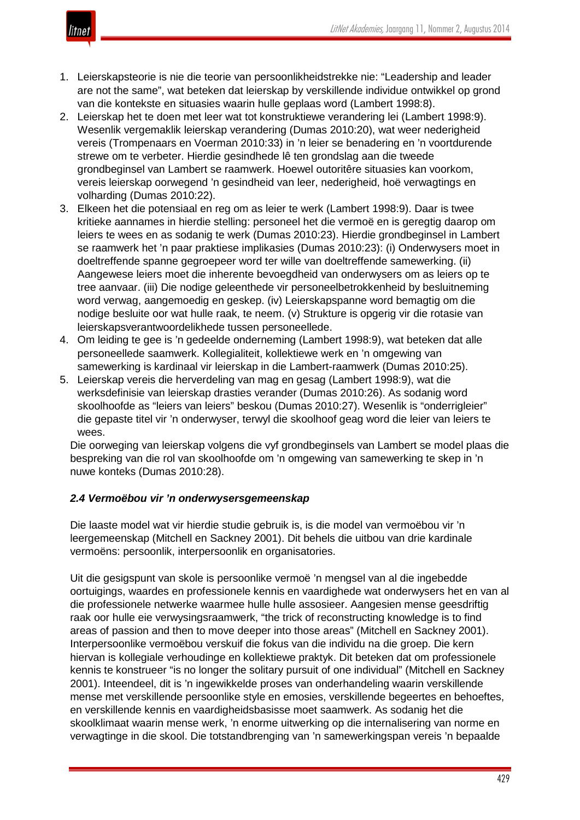

- 1. Leierskapsteorie is nie die teorie van persoonlikheidstrekke nie: "Leadership and leader are not the same", wat beteken dat leierskap by verskillende individue ontwikkel op grond van die kontekste en situasies waarin hulle geplaas word (Lambert 1998:8).
- 2. Leierskap het te doen met leer wat tot konstruktiewe verandering lei (Lambert 1998:9). Wesenlik vergemaklik leierskap verandering (Dumas 2010:20), wat weer nederigheid vereis (Trompenaars en Voerman 2010:33) in 'n leier se benadering en 'n voortdurende strewe om te verbeter. Hierdie gesindhede lê ten grondslag aan die tweede grondbeginsel van Lambert se raamwerk. Hoewel outoritêre situasies kan voorkom, vereis leierskap oorwegend 'n gesindheid van leer, nederigheid, hoë verwagtings en volharding (Dumas 2010:22).
- 3. Elkeen het die potensiaal en reg om as leier te werk (Lambert 1998:9). Daar is twee kritieke aannames in hierdie stelling: personeel het die vermoë en is geregtig daarop om leiers te wees en as sodanig te werk (Dumas 2010:23). Hierdie grondbeginsel in Lambert se raamwerk het 'n paar praktiese implikasies (Dumas 2010:23): (i) Onderwysers moet in doeltreffende spanne gegroepeer word ter wille van doeltreffende samewerking. (ii) Aangewese leiers moet die inherente bevoegdheid van onderwysers om as leiers op te tree aanvaar. (iii) Die nodige geleenthede vir personeelbetrokkenheid by besluitneming word verwag, aangemoedig en geskep. (iv) Leierskapspanne word bemagtig om die nodige besluite oor wat hulle raak, te neem. (v) Strukture is opgerig vir die rotasie van leierskapsverantwoordelikhede tussen personeellede.
- 4. Om leiding te gee is 'n gedeelde onderneming (Lambert 1998:9), wat beteken dat alle personeellede saamwerk. Kollegialiteit, kollektiewe werk en 'n omgewing van samewerking is kardinaal vir leierskap in die Lambert-raamwerk (Dumas 2010:25).
- 5. Leierskap vereis die herverdeling van mag en gesag (Lambert 1998:9), wat die werksdefinisie van leierskap drasties verander (Dumas 2010:26). As sodanig word skoolhoofde as "leiers van leiers" beskou (Dumas 2010:27). Wesenlik is "onderrigleier" die gepaste titel vir 'n onderwyser, terwyl die skoolhoof geag word die leier van leiers te wees.

Die oorweging van leierskap volgens die vyf grondbeginsels van Lambert se model plaas die bespreking van die rol van skoolhoofde om 'n omgewing van samewerking te skep in 'n nuwe konteks (Dumas 2010:28).

# *2.4 Vermoëbou vir 'n onderwysersgemeenskap*

Die laaste model wat vir hierdie studie gebruik is, is die model van vermoëbou vir 'n leergemeenskap (Mitchell en Sackney 2001). Dit behels die uitbou van drie kardinale vermoëns: persoonlik, interpersoonlik en organisatories.

Uit die gesigspunt van skole is persoonlike vermoë 'n mengsel van al die ingebedde oortuigings, waardes en professionele kennis en vaardighede wat onderwysers het en van al die professionele netwerke waarmee hulle hulle assosieer. Aangesien mense geesdriftig raak oor hulle eie verwysingsraamwerk, "the trick of reconstructing knowledge is to find areas of passion and then to move deeper into those areas" (Mitchell en Sackney 2001). Interpersoonlike vermoëbou verskuif die fokus van die individu na die groep. Die kern hiervan is kollegiale verhoudinge en kollektiewe praktyk. Dit beteken dat om professionele kennis te konstrueer "is no longer the solitary pursuit of one individual" (Mitchell en Sackney 2001). Inteendeel, dit is 'n ingewikkelde proses van onderhandeling waarin verskillende mense met verskillende persoonlike style en emosies, verskillende begeertes en behoeftes, en verskillende kennis en vaardigheidsbasisse moet saamwerk. As sodanig het die skoolklimaat waarin mense werk, 'n enorme uitwerking op die internalisering van norme en verwagtinge in die skool. Die totstandbrenging van 'n samewerkingspan vereis 'n bepaalde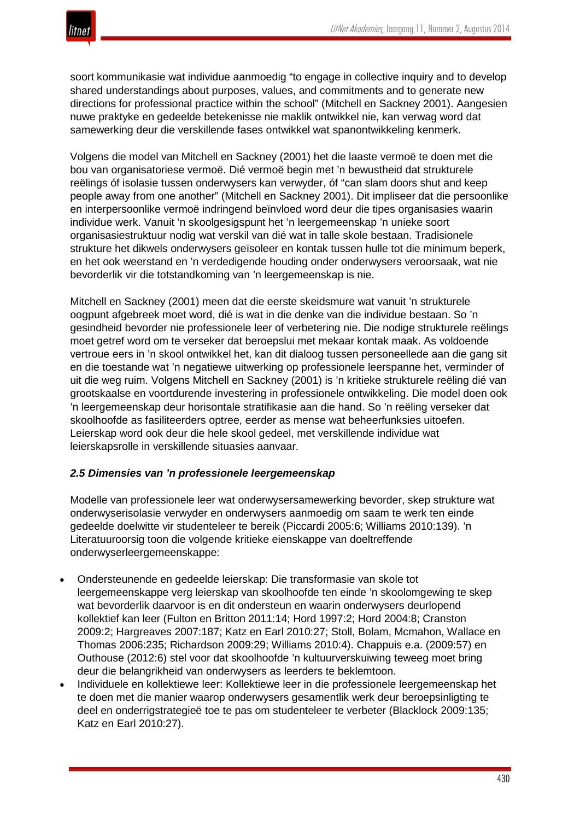

soort kommunikasie wat individue aanmoedig "to engage in collective inquiry and to develop shared understandings about purposes, values, and commitments and to generate new directions for professional practice within the school" (Mitchell en Sackney 2001). Aangesien nuwe praktyke en gedeelde betekenisse nie maklik ontwikkel nie, kan verwag word dat samewerking deur die verskillende fases ontwikkel wat spanontwikkeling kenmerk.

Volgens die model van Mitchell en Sackney (2001) het die laaste vermoë te doen met die bou van organisatoriese vermoë. Dié vermoë begin met 'n bewustheid dat strukturele reëlings óf isolasie tussen onderwysers kan verwyder, óf "can slam doors shut and keep people away from one another" (Mitchell en Sackney 2001). Dit impliseer dat die persoonlike en interpersoonlike vermoë indringend beïnvloed word deur die tipes organisasies waarin individue werk. Vanuit 'n skoolgesigspunt het 'n leergemeenskap 'n unieke soort organisasiestruktuur nodig wat verskil van dié wat in talle skole bestaan. Tradisionele strukture het dikwels onderwysers geïsoleer en kontak tussen hulle tot die minimum beperk, en het ook weerstand en 'n verdedigende houding onder onderwysers veroorsaak, wat nie bevorderlik vir die totstandkoming van 'n leergemeenskap is nie.

Mitchell en Sackney (2001) meen dat die eerste skeidsmure wat vanuit 'n strukturele oogpunt afgebreek moet word, dié is wat in die denke van die individue bestaan. So 'n gesindheid bevorder nie professionele leer of verbetering nie. Die nodige strukturele reëlings moet getref word om te verseker dat beroepslui met mekaar kontak maak. As voldoende vertroue eers in 'n skool ontwikkel het, kan dit dialoog tussen personeellede aan die gang sit en die toestande wat 'n negatiewe uitwerking op professionele leerspanne het, verminder of uit die weg ruim. Volgens Mitchell en Sackney (2001) is 'n kritieke strukturele reëling dié van grootskaalse en voortdurende investering in professionele ontwikkeling. Die model doen ook 'n leergemeenskap deur horisontale stratifikasie aan die hand. So 'n reëling verseker dat skoolhoofde as fasiliteerders optree, eerder as mense wat beheerfunksies uitoefen. Leierskap word ook deur die hele skool gedeel, met verskillende individue wat leierskapsrolle in verskillende situasies aanvaar.

## *2.5 Dimensies van 'n professionele leergemeenskap*

Modelle van professionele leer wat onderwysersamewerking bevorder, skep strukture wat onderwyserisolasie verwyder en onderwysers aanmoedig om saam te werk ten einde gedeelde doelwitte vir studenteleer te bereik (Piccardi 2005:6; Williams 2010:139). 'n Literatuuroorsig toon die volgende kritieke eienskappe van doeltreffende onderwyserleergemeenskappe:

- Ondersteunende en gedeelde leierskap: Die transformasie van skole tot leergemeenskappe verg leierskap van skoolhoofde ten einde 'n skoolomgewing te skep wat bevorderlik daarvoor is en dit ondersteun en waarin onderwysers deurlopend kollektief kan leer (Fulton en Britton 2011:14; Hord 1997:2; Hord 2004:8; Cranston 2009:2; Hargreaves 2007:187; Katz en Earl 2010:27; Stoll, Bolam, Mcmahon, Wallace en Thomas 2006:235; Richardson 2009:29; Williams 2010:4). Chappuis e.a. (2009:57) en Outhouse (2012:6) stel voor dat skoolhoofde 'n kultuurverskuiwing teweeg moet bring deur die belangrikheid van onderwysers as leerders te beklemtoon.
- Individuele en kollektiewe leer: Kollektiewe leer in die professionele leergemeenskap het te doen met die manier waarop onderwysers gesamentlik werk deur beroepsinligting te deel en onderrigstrategieë toe te pas om studenteleer te verbeter (Blacklock 2009:135; Katz en Earl 2010:27).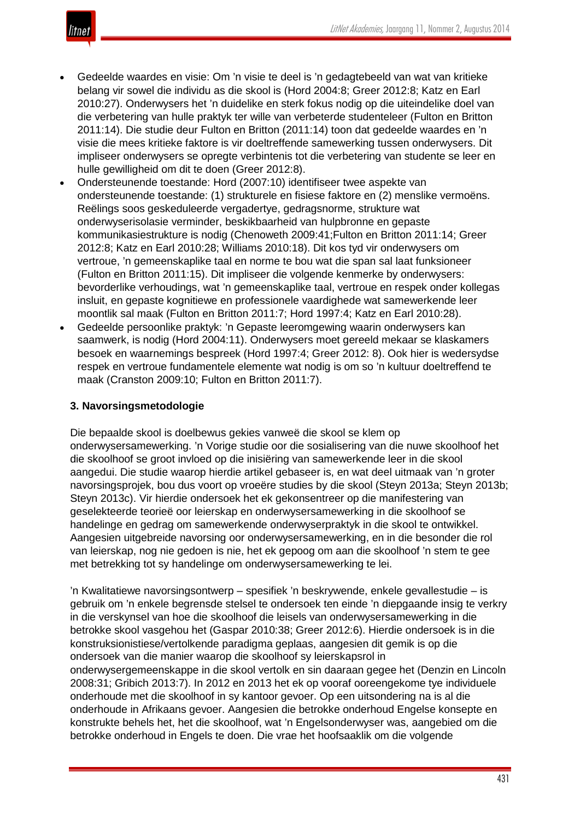

- Gedeelde waardes en visie: Om 'n visie te deel is 'n gedagtebeeld van wat van kritieke belang vir sowel die individu as die skool is (Hord 2004:8; Greer 2012:8; Katz en Earl 2010:27). Onderwysers het 'n duidelike en sterk fokus nodig op die uiteindelike doel van die verbetering van hulle praktyk ter wille van verbeterde studenteleer (Fulton en Britton 2011:14). Die studie deur Fulton en Britton (2011:14) toon dat gedeelde waardes en 'n visie die mees kritieke faktore is vir doeltreffende samewerking tussen onderwysers. Dit impliseer onderwysers se opregte verbintenis tot die verbetering van studente se leer en hulle gewilligheid om dit te doen (Greer 2012:8).
- Ondersteunende toestande: Hord (2007:10) identifiseer twee aspekte van ondersteunende toestande: (1) strukturele en fisiese faktore en (2) menslike vermoëns. Reëlings soos geskeduleerde vergadertye, gedragsnorme, strukture wat onderwyserisolasie verminder, beskikbaarheid van hulpbronne en gepaste kommunikasiestrukture is nodig (Chenoweth 2009:41;Fulton en Britton 2011:14; Greer 2012:8; Katz en Earl 2010:28; Williams 2010:18). Dit kos tyd vir onderwysers om vertroue, 'n gemeenskaplike taal en norme te bou wat die span sal laat funksioneer (Fulton en Britton 2011:15). Dit impliseer die volgende kenmerke by onderwysers: bevorderlike verhoudings, wat 'n gemeenskaplike taal, vertroue en respek onder kollegas insluit, en gepaste kognitiewe en professionele vaardighede wat samewerkende leer moontlik sal maak (Fulton en Britton 2011:7; Hord 1997:4; Katz en Earl 2010:28).
- Gedeelde persoonlike praktyk: 'n Gepaste leeromgewing waarin onderwysers kan saamwerk, is nodig (Hord 2004:11). Onderwysers moet gereeld mekaar se klaskamers besoek en waarnemings bespreek (Hord 1997:4; Greer 2012: 8). Ook hier is wedersydse respek en vertroue fundamentele elemente wat nodig is om so 'n kultuur doeltreffend te maak (Cranston 2009:10; Fulton en Britton 2011:7).

## **3. Navorsingsmetodologie**

Die bepaalde skool is doelbewus gekies vanweë die skool se klem op onderwysersamewerking. 'n Vorige studie oor die sosialisering van die nuwe skoolhoof het die skoolhoof se groot invloed op die inisiëring van samewerkende leer in die skool aangedui. Die studie waarop hierdie artikel gebaseer is, en wat deel uitmaak van 'n groter navorsingsprojek, bou dus voort op vroeëre studies by die skool (Steyn 2013a; Steyn 2013b; Steyn 2013c). Vir hierdie ondersoek het ek gekonsentreer op die manifestering van geselekteerde teorieë oor leierskap en onderwysersamewerking in die skoolhoof se handelinge en gedrag om samewerkende onderwyserpraktyk in die skool te ontwikkel. Aangesien uitgebreide navorsing oor onderwysersamewerking, en in die besonder die rol van leierskap, nog nie gedoen is nie, het ek gepoog om aan die skoolhoof 'n stem te gee met betrekking tot sy handelinge om onderwysersamewerking te lei.

'n Kwalitatiewe navorsingsontwerp – spesifiek 'n beskrywende, enkele gevallestudie – is gebruik om 'n enkele begrensde stelsel te ondersoek ten einde 'n diepgaande insig te verkry in die verskynsel van hoe die skoolhoof die leisels van onderwysersamewerking in die betrokke skool vasgehou het (Gaspar 2010:38; Greer 2012:6). Hierdie ondersoek is in die konstruksionistiese/vertolkende paradigma geplaas, aangesien dit gemik is op die ondersoek van die manier waarop die skoolhoof sy leierskapsrol in onderwysergemeenskappe in die skool vertolk en sin daaraan gegee het (Denzin en Lincoln 2008:31; Gribich 2013:7). In 2012 en 2013 het ek op vooraf ooreengekome tye individuele onderhoude met die skoolhoof in sy kantoor gevoer. Op een uitsondering na is al die onderhoude in Afrikaans gevoer. Aangesien die betrokke onderhoud Engelse konsepte en konstrukte behels het, het die skoolhoof, wat 'n Engelsonderwyser was, aangebied om die betrokke onderhoud in Engels te doen. Die vrae het hoofsaaklik om die volgende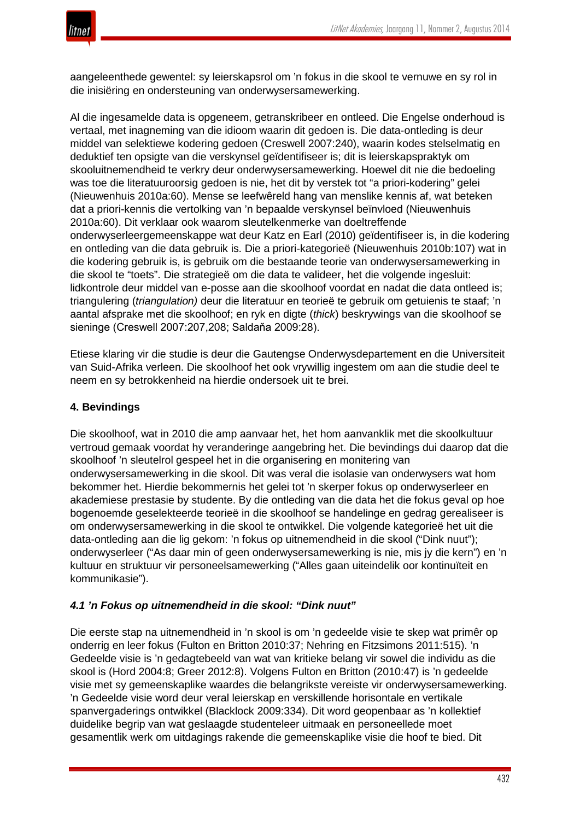

aangeleenthede gewentel: sy leierskapsrol om 'n fokus in die skool te vernuwe en sy rol in die inisiëring en ondersteuning van onderwysersamewerking.

Al die ingesamelde data is opgeneem, getranskribeer en ontleed. Die Engelse onderhoud is vertaal, met inagneming van die idioom waarin dit gedoen is. Die data-ontleding is deur middel van selektiewe kodering gedoen (Creswell 2007:240), waarin kodes stelselmatig en deduktief ten opsigte van die verskynsel geïdentifiseer is; dit is leierskapspraktyk om skooluitnemendheid te verkry deur onderwysersamewerking. Hoewel dit nie die bedoeling was toe die literatuuroorsig gedoen is nie, het dit by verstek tot "a priori-kodering" gelei (Nieuwenhuis 2010a:60). Mense se leefwêreld hang van menslike kennis af, wat beteken dat a priori-kennis die vertolking van 'n bepaalde verskynsel beïnvloed (Nieuwenhuis 2010a:60). Dit verklaar ook waarom sleutelkenmerke van doeltreffende onderwyserleergemeenskappe wat deur Katz en Earl (2010) geïdentifiseer is, in die kodering en ontleding van die data gebruik is. Die a priori-kategorieë (Nieuwenhuis 2010b:107) wat in die kodering gebruik is, is gebruik om die bestaande teorie van onderwysersamewerking in die skool te "toets". Die strategieë om die data te valideer, het die volgende ingesluit: lidkontrole deur middel van e-posse aan die skoolhoof voordat en nadat die data ontleed is; triangulering (*triangulation)* deur die literatuur en teorieë te gebruik om getuienis te staaf; 'n aantal afsprake met die skoolhoof; en ryk en digte (*thick*) beskrywings van die skoolhoof se sieninge (Creswell 2007:207,208; Saldaňa 2009:28).

Etiese klaring vir die studie is deur die Gautengse Onderwysdepartement en die Universiteit van Suid-Afrika verleen. Die skoolhoof het ook vrywillig ingestem om aan die studie deel te neem en sy betrokkenheid na hierdie ondersoek uit te brei.

# **4. Bevindings**

Die skoolhoof, wat in 2010 die amp aanvaar het, het hom aanvanklik met die skoolkultuur vertroud gemaak voordat hy veranderinge aangebring het. Die bevindings dui daarop dat die skoolhoof 'n sleutelrol gespeel het in die organisering en monitering van onderwysersamewerking in die skool. Dit was veral die isolasie van onderwysers wat hom bekommer het. Hierdie bekommernis het gelei tot 'n skerper fokus op onderwyserleer en akademiese prestasie by studente. By die ontleding van die data het die fokus geval op hoe bogenoemde geselekteerde teorieë in die skoolhoof se handelinge en gedrag gerealiseer is om onderwysersamewerking in die skool te ontwikkel. Die volgende kategorieë het uit die data-ontleding aan die lig gekom: 'n fokus op uitnemendheid in die skool ("Dink nuut"); onderwyserleer ("As daar min of geen onderwysersamewerking is nie, mis jy die kern") en 'n kultuur en struktuur vir personeelsamewerking ("Alles gaan uiteindelik oor kontinuïteit en kommunikasie").

## *4.1 'n Fokus op uitnemendheid in die skool: "Dink nuut"*

Die eerste stap na uitnemendheid in 'n skool is om 'n gedeelde visie te skep wat primêr op onderrig en leer fokus (Fulton en Britton 2010:37; Nehring en Fitzsimons 2011:515). 'n Gedeelde visie is 'n gedagtebeeld van wat van kritieke belang vir sowel die individu as die skool is (Hord 2004:8; Greer 2012:8). Volgens Fulton en Britton (2010:47) is 'n gedeelde visie met sy gemeenskaplike waardes die belangrikste vereiste vir onderwysersamewerking. 'n Gedeelde visie word deur veral leierskap en verskillende horisontale en vertikale spanvergaderings ontwikkel (Blacklock 2009:334). Dit word geopenbaar as 'n kollektief duidelike begrip van wat geslaagde studenteleer uitmaak en personeellede moet gesamentlik werk om uitdagings rakende die gemeenskaplike visie die hoof te bied. Dit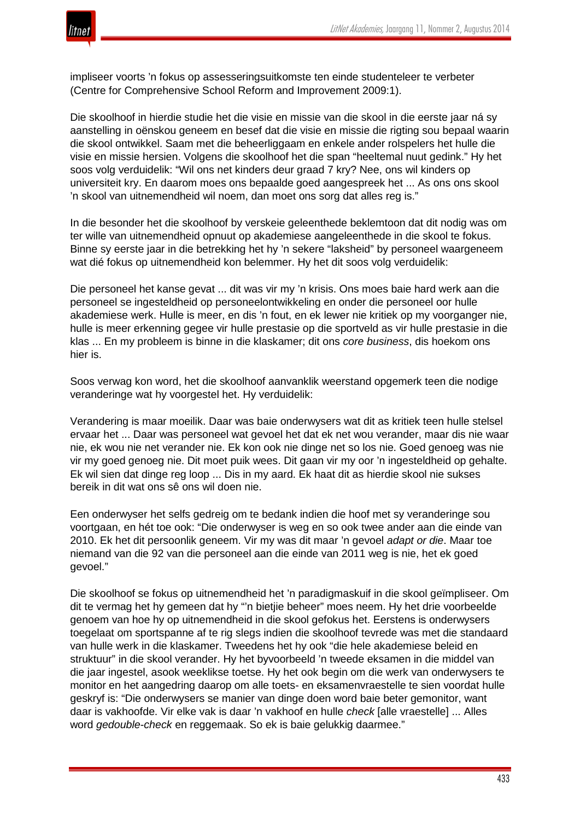

impliseer voorts 'n fokus op assesseringsuitkomste ten einde studenteleer te verbeter (Centre for Comprehensive School Reform and Improvement 2009:1).

Die skoolhoof in hierdie studie het die visie en missie van die skool in die eerste jaar ná sy aanstelling in oënskou geneem en besef dat die visie en missie die rigting sou bepaal waarin die skool ontwikkel. Saam met die beheerliggaam en enkele ander rolspelers het hulle die visie en missie hersien. Volgens die skoolhoof het die span "heeltemal nuut gedink." Hy het soos volg verduidelik: "Wil ons net kinders deur graad 7 kry? Nee, ons wil kinders op universiteit kry. En daarom moes ons bepaalde goed aangespreek het ... As ons ons skool 'n skool van uitnemendheid wil noem, dan moet ons sorg dat alles reg is."

In die besonder het die skoolhoof by verskeie geleenthede beklemtoon dat dit nodig was om ter wille van uitnemendheid opnuut op akademiese aangeleenthede in die skool te fokus. Binne sy eerste jaar in die betrekking het hy 'n sekere "laksheid" by personeel waargeneem wat dié fokus op uitnemendheid kon belemmer. Hy het dit soos volg verduidelik:

Die personeel het kanse gevat ... dit was vir my 'n krisis. Ons moes baie hard werk aan die personeel se ingesteldheid op personeelontwikkeling en onder die personeel oor hulle akademiese werk. Hulle is meer, en dis 'n fout, en ek lewer nie kritiek op my voorganger nie, hulle is meer erkenning gegee vir hulle prestasie op die sportveld as vir hulle prestasie in die klas ... En my probleem is binne in die klaskamer; dit ons *core business*, dis hoekom ons hier is.

Soos verwag kon word, het die skoolhoof aanvanklik weerstand opgemerk teen die nodige veranderinge wat hy voorgestel het. Hy verduidelik:

Verandering is maar moeilik. Daar was baie onderwysers wat dit as kritiek teen hulle stelsel ervaar het ... Daar was personeel wat gevoel het dat ek net wou verander, maar dis nie waar nie, ek wou nie net verander nie. Ek kon ook nie dinge net so los nie. Goed genoeg was nie vir my goed genoeg nie. Dit moet puik wees. Dit gaan vir my oor 'n ingesteldheid op gehalte. Ek wil sien dat dinge reg loop ... Dis in my aard. Ek haat dit as hierdie skool nie sukses bereik in dit wat ons sê ons wil doen nie.

Een onderwyser het selfs gedreig om te bedank indien die hoof met sy veranderinge sou voortgaan, en hét toe ook: "Die onderwyser is weg en so ook twee ander aan die einde van 2010. Ek het dit persoonlik geneem. Vir my was dit maar 'n gevoel *adapt or die*. Maar toe niemand van die 92 van die personeel aan die einde van 2011 weg is nie, het ek goed gevoel."

Die skoolhoof se fokus op uitnemendheid het 'n paradigmaskuif in die skool geïmpliseer. Om dit te vermag het hy gemeen dat hy "'n bietjie beheer" moes neem. Hy het drie voorbeelde genoem van hoe hy op uitnemendheid in die skool gefokus het. Eerstens is onderwysers toegelaat om sportspanne af te rig slegs indien die skoolhoof tevrede was met die standaard van hulle werk in die klaskamer. Tweedens het hy ook "die hele akademiese beleid en struktuur" in die skool verander. Hy het byvoorbeeld 'n tweede eksamen in die middel van die jaar ingestel, asook weeklikse toetse. Hy het ook begin om die werk van onderwysers te monitor en het aangedring daarop om alle toets- en eksamenvraestelle te sien voordat hulle geskryf is: "Die onderwysers se manier van dinge doen word baie beter gemonitor, want daar is vakhoofde. Vir elke vak is daar 'n vakhoof en hulle *check* [alle vraestelle] ... Alles word *gedouble-check* en reggemaak. So ek is baie gelukkig daarmee."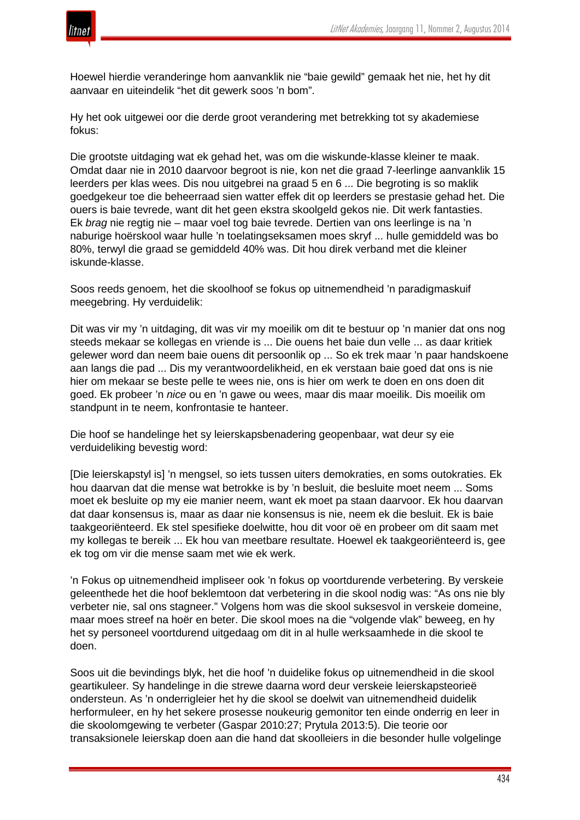

Hoewel hierdie veranderinge hom aanvanklik nie "baie gewild" gemaak het nie, het hy dit aanvaar en uiteindelik "het dit gewerk soos 'n bom".

Hy het ook uitgewei oor die derde groot verandering met betrekking tot sy akademiese fokus:

Die grootste uitdaging wat ek gehad het, was om die wiskunde-klasse kleiner te maak. Omdat daar nie in 2010 daarvoor begroot is nie, kon net die graad 7-leerlinge aanvanklik 15 leerders per klas wees. Dis nou uitgebrei na graad 5 en 6 ... Die begroting is so maklik goedgekeur toe die beheerraad sien watter effek dit op leerders se prestasie gehad het. Die ouers is baie tevrede, want dit het geen ekstra skoolgeld gekos nie. Dit werk fantasties. Ek *brag* nie regtig nie – maar voel tog baie tevrede. Dertien van ons leerlinge is na 'n naburige hoërskool waar hulle 'n toelatingseksamen moes skryf ... hulle gemiddeld was bo 80%, terwyl die graad se gemiddeld 40% was. Dit hou direk verband met die kleiner iskunde-klasse.

Soos reeds genoem, het die skoolhoof se fokus op uitnemendheid 'n paradigmaskuif meegebring. Hy verduidelik:

Dit was vir my 'n uitdaging, dit was vir my moeilik om dit te bestuur op 'n manier dat ons nog steeds mekaar se kollegas en vriende is ... Die ouens het baie dun velle ... as daar kritiek gelewer word dan neem baie ouens dit persoonlik op ... So ek trek maar 'n paar handskoene aan langs die pad ... Dis my verantwoordelikheid, en ek verstaan baie goed dat ons is nie hier om mekaar se beste pelle te wees nie, ons is hier om werk te doen en ons doen dit goed. Ek probeer 'n *nice* ou en 'n gawe ou wees, maar dis maar moeilik. Dis moeilik om standpunt in te neem, konfrontasie te hanteer.

Die hoof se handelinge het sy leierskapsbenadering geopenbaar, wat deur sy eie verduideliking bevestig word:

[Die leierskapstyl is] 'n mengsel, so iets tussen uiters demokraties, en soms outokraties. Ek hou daarvan dat die mense wat betrokke is by 'n besluit, die besluite moet neem ... Soms moet ek besluite op my eie manier neem, want ek moet pa staan daarvoor. Ek hou daarvan dat daar konsensus is, maar as daar nie konsensus is nie, neem ek die besluit. Ek is baie taakgeoriënteerd. Ek stel spesifieke doelwitte, hou dit voor oë en probeer om dit saam met my kollegas te bereik ... Ek hou van meetbare resultate. Hoewel ek taakgeoriënteerd is, gee ek tog om vir die mense saam met wie ek werk.

'n Fokus op uitnemendheid impliseer ook 'n fokus op voortdurende verbetering. By verskeie geleenthede het die hoof beklemtoon dat verbetering in die skool nodig was: "As ons nie bly verbeter nie, sal ons stagneer." Volgens hom was die skool suksesvol in verskeie domeine, maar moes streef na hoër en beter. Die skool moes na die "volgende vlak" beweeg, en hy het sy personeel voortdurend uitgedaag om dit in al hulle werksaamhede in die skool te doen.

Soos uit die bevindings blyk, het die hoof 'n duidelike fokus op uitnemendheid in die skool geartikuleer. Sy handelinge in die strewe daarna word deur verskeie leierskapsteorieë ondersteun. As 'n onderrigleier het hy die skool se doelwit van uitnemendheid duidelik herformuleer, en hy het sekere prosesse noukeurig gemonitor ten einde onderrig en leer in die skoolomgewing te verbeter (Gaspar 2010:27; Prytula 2013:5). Die teorie oor transaksionele leierskap doen aan die hand dat skoolleiers in die besonder hulle volgelinge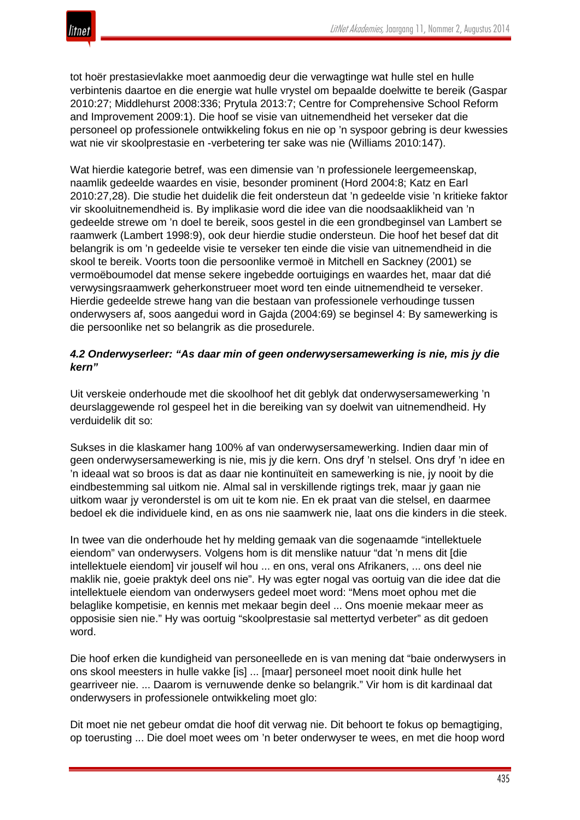

tot hoër prestasievlakke moet aanmoedig deur die verwagtinge wat hulle stel en hulle verbintenis daartoe en die energie wat hulle vrystel om bepaalde doelwitte te bereik (Gaspar 2010:27; Middlehurst 2008:336; Prytula 2013:7; Centre for Comprehensive School Reform and Improvement 2009:1). Die hoof se visie van uitnemendheid het verseker dat die personeel op professionele ontwikkeling fokus en nie op 'n syspoor gebring is deur kwessies wat nie vir skoolprestasie en -verbetering ter sake was nie (Williams 2010:147).

Wat hierdie kategorie betref, was een dimensie van 'n professionele leergemeenskap, naamlik gedeelde waardes en visie, besonder prominent (Hord 2004:8; Katz en Earl 2010:27,28). Die studie het duidelik die feit ondersteun dat 'n gedeelde visie 'n kritieke faktor vir skooluitnemendheid is. By implikasie word die idee van die noodsaaklikheid van 'n gedeelde strewe om 'n doel te bereik, soos gestel in die een grondbeginsel van Lambert se raamwerk (Lambert 1998:9), ook deur hierdie studie ondersteun. Die hoof het besef dat dit belangrik is om 'n gedeelde visie te verseker ten einde die visie van uitnemendheid in die skool te bereik. Voorts toon die persoonlike vermoë in Mitchell en Sackney (2001) se vermoëboumodel dat mense sekere ingebedde oortuigings en waardes het, maar dat dié verwysingsraamwerk geherkonstrueer moet word ten einde uitnemendheid te verseker. Hierdie gedeelde strewe hang van die bestaan van professionele verhoudinge tussen onderwysers af, soos aangedui word in Gajda (2004:69) se beginsel 4: By samewerking is die persoonlike net so belangrik as die prosedurele.

## *4.2 Onderwyserleer: "As daar min of geen onderwysersamewerking is nie, mis jy die kern"*

Uit verskeie onderhoude met die skoolhoof het dit geblyk dat onderwysersamewerking 'n deurslaggewende rol gespeel het in die bereiking van sy doelwit van uitnemendheid. Hy verduidelik dit so:

Sukses in die klaskamer hang 100% af van onderwysersamewerking. Indien daar min of geen onderwysersamewerking is nie, mis jy die kern. Ons dryf 'n stelsel. Ons dryf 'n idee en 'n ideaal wat so broos is dat as daar nie kontinuïteit en samewerking is nie, jy nooit by die eindbestemming sal uitkom nie. Almal sal in verskillende rigtings trek, maar jy gaan nie uitkom waar jy veronderstel is om uit te kom nie. En ek praat van die stelsel, en daarmee bedoel ek die individuele kind, en as ons nie saamwerk nie, laat ons die kinders in die steek.

In twee van die onderhoude het hy melding gemaak van die sogenaamde "intellektuele eiendom" van onderwysers. Volgens hom is dit menslike natuur "dat 'n mens dit [die intellektuele eiendom] vir jouself wil hou ... en ons, veral ons Afrikaners, ... ons deel nie maklik nie, goeie praktyk deel ons nie". Hy was egter nogal vas oortuig van die idee dat die intellektuele eiendom van onderwysers gedeel moet word: "Mens moet ophou met die belaglike kompetisie, en kennis met mekaar begin deel ... Ons moenie mekaar meer as opposisie sien nie." Hy was oortuig "skoolprestasie sal mettertyd verbeter" as dit gedoen word.

Die hoof erken die kundigheid van personeellede en is van mening dat "baie onderwysers in ons skool meesters in hulle vakke [is] ... [maar] personeel moet nooit dink hulle het gearriveer nie. ... Daarom is vernuwende denke so belangrik." Vir hom is dit kardinaal dat onderwysers in professionele ontwikkeling moet glo:

Dit moet nie net gebeur omdat die hoof dit verwag nie. Dit behoort te fokus op bemagtiging, op toerusting ... Die doel moet wees om 'n beter onderwyser te wees, en met die hoop word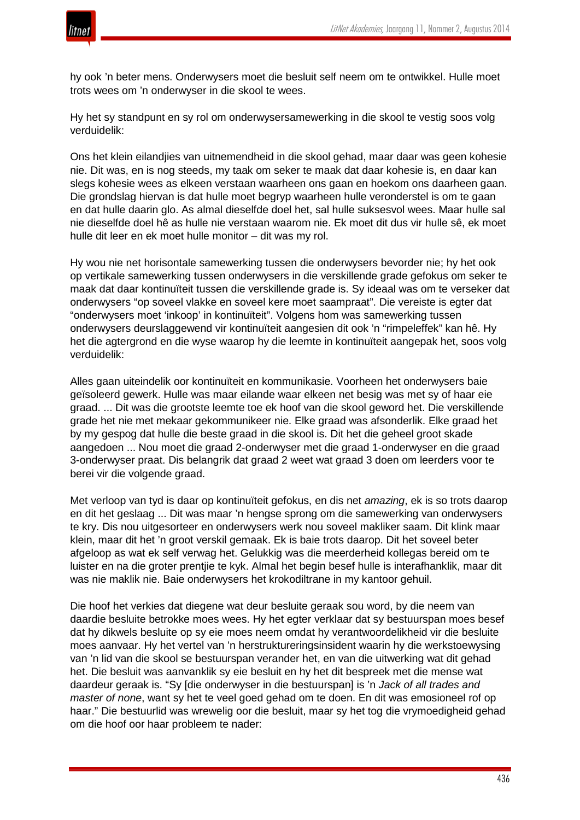

hy ook 'n beter mens. Onderwysers moet die besluit self neem om te ontwikkel. Hulle moet trots wees om 'n onderwyser in die skool te wees.

Hy het sy standpunt en sy rol om onderwysersamewerking in die skool te vestig soos volg verduidelik:

Ons het klein eilandjies van uitnemendheid in die skool gehad, maar daar was geen kohesie nie. Dit was, en is nog steeds, my taak om seker te maak dat daar kohesie is, en daar kan slegs kohesie wees as elkeen verstaan waarheen ons gaan en hoekom ons daarheen gaan. Die grondslag hiervan is dat hulle moet begryp waarheen hulle veronderstel is om te gaan en dat hulle daarin glo. As almal dieselfde doel het, sal hulle suksesvol wees. Maar hulle sal nie dieselfde doel hê as hulle nie verstaan waarom nie. Ek moet dit dus vir hulle sê, ek moet hulle dit leer en ek moet hulle monitor – dit was my rol.

Hy wou nie net horisontale samewerking tussen die onderwysers bevorder nie; hy het ook op vertikale samewerking tussen onderwysers in die verskillende grade gefokus om seker te maak dat daar kontinuïteit tussen die verskillende grade is. Sy ideaal was om te verseker dat onderwysers "op soveel vlakke en soveel kere moet saampraat". Die vereiste is egter dat "onderwysers moet 'inkoop' in kontinuïteit". Volgens hom was samewerking tussen onderwysers deurslaggewend vir kontinuïteit aangesien dit ook 'n "rimpeleffek" kan hê. Hy het die agtergrond en die wyse waarop hy die leemte in kontinuïteit aangepak het, soos volg verduidelik:

Alles gaan uiteindelik oor kontinuïteit en kommunikasie. Voorheen het onderwysers baie geïsoleerd gewerk. Hulle was maar eilande waar elkeen net besig was met sy of haar eie graad. ... Dit was die grootste leemte toe ek hoof van die skool geword het. Die verskillende grade het nie met mekaar gekommunikeer nie. Elke graad was afsonderlik. Elke graad het by my gespog dat hulle die beste graad in die skool is. Dit het die geheel groot skade aangedoen ... Nou moet die graad 2-onderwyser met die graad 1-onderwyser en die graad 3-onderwyser praat. Dis belangrik dat graad 2 weet wat graad 3 doen om leerders voor te berei vir die volgende graad.

Met verloop van tyd is daar op kontinuïteit gefokus, en dis net *amazing*, ek is so trots daarop en dit het geslaag ... Dit was maar 'n hengse sprong om die samewerking van onderwysers te kry. Dis nou uitgesorteer en onderwysers werk nou soveel makliker saam. Dit klink maar klein, maar dit het 'n groot verskil gemaak. Ek is baie trots daarop. Dit het soveel beter afgeloop as wat ek self verwag het. Gelukkig was die meerderheid kollegas bereid om te luister en na die groter prentjie te kyk. Almal het begin besef hulle is interafhanklik, maar dit was nie maklik nie. Baie onderwysers het krokodiltrane in my kantoor gehuil.

Die hoof het verkies dat diegene wat deur besluite geraak sou word, by die neem van daardie besluite betrokke moes wees. Hy het egter verklaar dat sy bestuurspan moes besef dat hy dikwels besluite op sy eie moes neem omdat hy verantwoordelikheid vir die besluite moes aanvaar. Hy het vertel van 'n herstruktureringsinsident waarin hy die werkstoewysing van 'n lid van die skool se bestuurspan verander het, en van die uitwerking wat dit gehad het. Die besluit was aanvanklik sy eie besluit en hy het dit bespreek met die mense wat daardeur geraak is. "Sy [die onderwyser in die bestuurspan] is 'n *Jack of all trades and master of none*, want sy het te veel goed gehad om te doen. En dit was emosioneel rof op haar." Die bestuurlid was wrewelig oor die besluit, maar sy het tog die vrymoedigheid gehad om die hoof oor haar probleem te nader: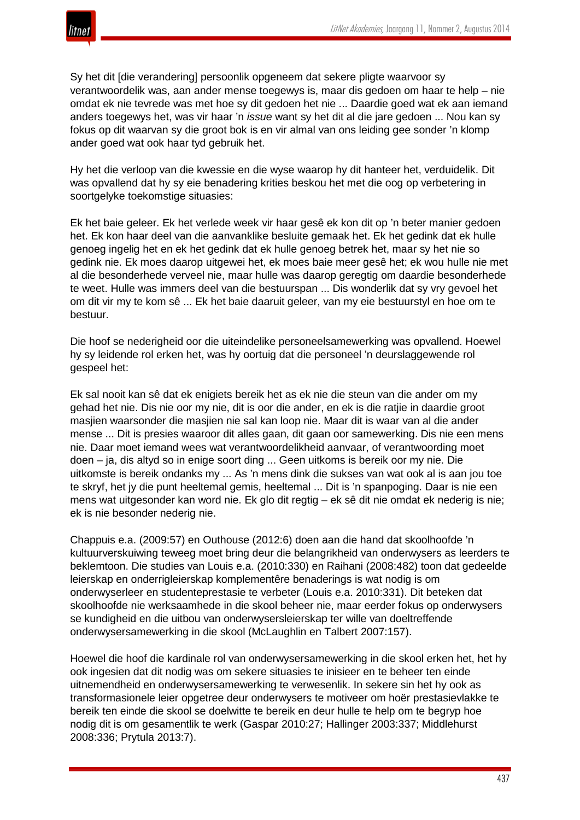

Sy het dit [die verandering] persoonlik opgeneem dat sekere pligte waarvoor sy verantwoordelik was, aan ander mense toegewys is, maar dis gedoen om haar te help – nie omdat ek nie tevrede was met hoe sy dit gedoen het nie ... Daardie goed wat ek aan iemand anders toegewys het, was vir haar 'n *issue* want sy het dit al die jare gedoen ... Nou kan sy fokus op dit waarvan sy die groot bok is en vir almal van ons leiding gee sonder 'n klomp ander goed wat ook haar tyd gebruik het.

Hy het die verloop van die kwessie en die wyse waarop hy dit hanteer het, verduidelik. Dit was opvallend dat hy sy eie benadering krities beskou het met die oog op verbetering in soortgelyke toekomstige situasies:

Ek het baie geleer. Ek het verlede week vir haar gesê ek kon dit op 'n beter manier gedoen het. Ek kon haar deel van die aanvanklike besluite gemaak het. Ek het gedink dat ek hulle genoeg ingelig het en ek het gedink dat ek hulle genoeg betrek het, maar sy het nie so gedink nie. Ek moes daarop uitgewei het, ek moes baie meer gesê het; ek wou hulle nie met al die besonderhede verveel nie, maar hulle was daarop geregtig om daardie besonderhede te weet. Hulle was immers deel van die bestuurspan ... Dis wonderlik dat sy vry gevoel het om dit vir my te kom sê ... Ek het baie daaruit geleer, van my eie bestuurstyl en hoe om te bestuur.

Die hoof se nederigheid oor die uiteindelike personeelsamewerking was opvallend. Hoewel hy sy leidende rol erken het, was hy oortuig dat die personeel 'n deurslaggewende rol gespeel het:

Ek sal nooit kan sê dat ek enigiets bereik het as ek nie die steun van die ander om my gehad het nie. Dis nie oor my nie, dit is oor die ander, en ek is die ratjie in daardie groot masjien waarsonder die masjien nie sal kan loop nie. Maar dit is waar van al die ander mense ... Dit is presies waaroor dit alles gaan, dit gaan oor samewerking. Dis nie een mens nie. Daar moet iemand wees wat verantwoordelikheid aanvaar, of verantwoording moet doen – ja, dis altyd so in enige soort ding ... Geen uitkoms is bereik oor my nie. Die uitkomste is bereik ondanks my ... As 'n mens dink die sukses van wat ook al is aan jou toe te skryf, het jy die punt heeltemal gemis, heeltemal ... Dit is 'n spanpoging. Daar is nie een mens wat uitgesonder kan word nie. Ek glo dit regtig – ek sê dit nie omdat ek nederig is nie; ek is nie besonder nederig nie.

Chappuis e.a. (2009:57) en Outhouse (2012:6) doen aan die hand dat skoolhoofde 'n kultuurverskuiwing teweeg moet bring deur die belangrikheid van onderwysers as leerders te beklemtoon. Die studies van Louis e.a. (2010:330) en Raihani (2008:482) toon dat gedeelde leierskap en onderrigleierskap komplementêre benaderings is wat nodig is om onderwyserleer en studenteprestasie te verbeter (Louis e.a. 2010:331). Dit beteken dat skoolhoofde nie werksaamhede in die skool beheer nie, maar eerder fokus op onderwysers se kundigheid en die uitbou van onderwysersleierskap ter wille van doeltreffende onderwysersamewerking in die skool (McLaughlin en Talbert 2007:157).

Hoewel die hoof die kardinale rol van onderwysersamewerking in die skool erken het, het hy ook ingesien dat dit nodig was om sekere situasies te inisieer en te beheer ten einde uitnemendheid en onderwysersamewerking te verwesenlik. In sekere sin het hy ook as transformasionele leier opgetree deur onderwysers te motiveer om hoër prestasievlakke te bereik ten einde die skool se doelwitte te bereik en deur hulle te help om te begryp hoe nodig dit is om gesamentlik te werk (Gaspar 2010:27; Hallinger 2003:337; Middlehurst 2008:336; Prytula 2013:7).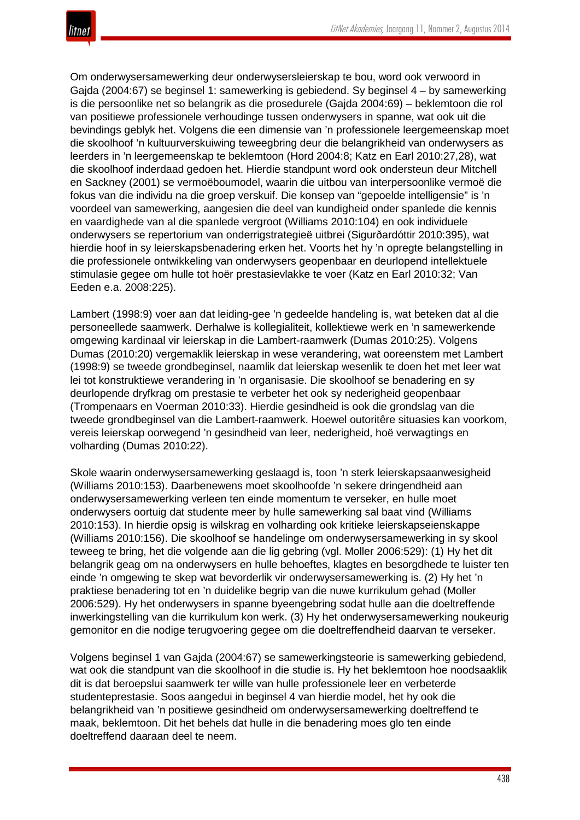Om onderwysersamewerking deur onderwysersleierskap te bou, word ook verwoord in Gajda (2004:67) se beginsel 1: samewerking is gebiedend. Sy beginsel 4 – by samewerking is die persoonlike net so belangrik as die prosedurele (Gajda 2004:69) – beklemtoon die rol van positiewe professionele verhoudinge tussen onderwysers in spanne, wat ook uit die bevindings geblyk het. Volgens die een dimensie van 'n professionele leergemeenskap moet die skoolhoof 'n kultuurverskuiwing teweegbring deur die belangrikheid van onderwysers as leerders in 'n leergemeenskap te beklemtoon (Hord 2004:8; Katz en Earl 2010:27,28), wat die skoolhoof inderdaad gedoen het. Hierdie standpunt word ook ondersteun deur Mitchell en Sackney (2001) se vermoëboumodel, waarin die uitbou van interpersoonlike vermoë die fokus van die individu na die groep verskuif. Die konsep van "gepoelde intelligensie" is 'n voordeel van samewerking, aangesien die deel van kundigheid onder spanlede die kennis en vaardighede van al die spanlede vergroot (Williams 2010:104) en ook individuele onderwysers se repertorium van onderrigstrategieë uitbrei (Sigurðardóttir 2010:395), wat hierdie hoof in sy leierskapsbenadering erken het. Voorts het hy 'n opregte belangstelling in die professionele ontwikkeling van onderwysers geopenbaar en deurlopend intellektuele stimulasie gegee om hulle tot hoër prestasievlakke te voer (Katz en Earl 2010:32; Van Eeden e.a. 2008:225).

Lambert (1998:9) voer aan dat leiding-gee 'n gedeelde handeling is, wat beteken dat al die personeellede saamwerk. Derhalwe is kollegialiteit, kollektiewe werk en 'n samewerkende omgewing kardinaal vir leierskap in die Lambert-raamwerk (Dumas 2010:25). Volgens Dumas (2010:20) vergemaklik leierskap in wese verandering, wat ooreenstem met Lambert (1998:9) se tweede grondbeginsel, naamlik dat leierskap wesenlik te doen het met leer wat lei tot konstruktiewe verandering in 'n organisasie. Die skoolhoof se benadering en sy deurlopende dryfkrag om prestasie te verbeter het ook sy nederigheid geopenbaar (Trompenaars en Voerman 2010:33). Hierdie gesindheid is ook die grondslag van die tweede grondbeginsel van die Lambert-raamwerk. Hoewel outoritêre situasies kan voorkom, vereis leierskap oorwegend 'n gesindheid van leer, nederigheid, hoë verwagtings en volharding (Dumas 2010:22).

Skole waarin onderwysersamewerking geslaagd is, toon 'n sterk leierskapsaanwesigheid (Williams 2010:153). Daarbenewens moet skoolhoofde 'n sekere dringendheid aan onderwysersamewerking verleen ten einde momentum te verseker, en hulle moet onderwysers oortuig dat studente meer by hulle samewerking sal baat vind (Williams 2010:153). In hierdie opsig is wilskrag en volharding ook kritieke leierskapseienskappe (Williams 2010:156). Die skoolhoof se handelinge om onderwysersamewerking in sy skool teweeg te bring, het die volgende aan die lig gebring (vgl. Moller 2006:529): (1) Hy het dit belangrik geag om na onderwysers en hulle behoeftes, klagtes en besorgdhede te luister ten einde 'n omgewing te skep wat bevorderlik vir onderwysersamewerking is. (2) Hy het 'n praktiese benadering tot en 'n duidelike begrip van die nuwe kurrikulum gehad (Moller 2006:529). Hy het onderwysers in spanne byeengebring sodat hulle aan die doeltreffende inwerkingstelling van die kurrikulum kon werk. (3) Hy het onderwysersamewerking noukeurig gemonitor en die nodige terugvoering gegee om die doeltreffendheid daarvan te verseker.

Volgens beginsel 1 van Gajda (2004:67) se samewerkingsteorie is samewerking gebiedend, wat ook die standpunt van die skoolhoof in die studie is. Hy het beklemtoon hoe noodsaaklik dit is dat beroepslui saamwerk ter wille van hulle professionele leer en verbeterde studenteprestasie. Soos aangedui in beginsel 4 van hierdie model, het hy ook die belangrikheid van 'n positiewe gesindheid om onderwysersamewerking doeltreffend te maak, beklemtoon. Dit het behels dat hulle in die benadering moes glo ten einde doeltreffend daaraan deel te neem.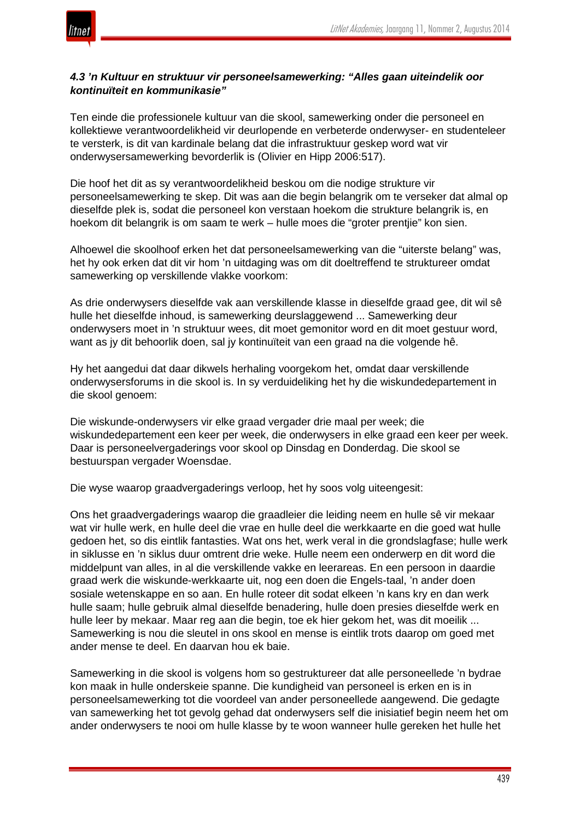

## *4.3 'n Kultuur en struktuur vir personeelsamewerking: "Alles gaan uiteindelik oor kontinuïteit en kommunikasie"*

Ten einde die professionele kultuur van die skool, samewerking onder die personeel en kollektiewe verantwoordelikheid vir deurlopende en verbeterde onderwyser- en studenteleer te versterk, is dit van kardinale belang dat die infrastruktuur geskep word wat vir onderwysersamewerking bevorderlik is (Olivier en Hipp 2006:517).

Die hoof het dit as sy verantwoordelikheid beskou om die nodige strukture vir personeelsamewerking te skep. Dit was aan die begin belangrik om te verseker dat almal op dieselfde plek is, sodat die personeel kon verstaan hoekom die strukture belangrik is, en hoekom dit belangrik is om saam te werk – hulle moes die "groter prentjie" kon sien.

Alhoewel die skoolhoof erken het dat personeelsamewerking van die "uiterste belang" was, het hy ook erken dat dit vir hom 'n uitdaging was om dit doeltreffend te struktureer omdat samewerking op verskillende vlakke voorkom:

As drie onderwysers dieselfde vak aan verskillende klasse in dieselfde graad gee, dit wil sê hulle het dieselfde inhoud, is samewerking deurslaggewend ... Samewerking deur onderwysers moet in 'n struktuur wees, dit moet gemonitor word en dit moet gestuur word, want as jy dit behoorlik doen, sal jy kontinuïteit van een graad na die volgende hê.

Hy het aangedui dat daar dikwels herhaling voorgekom het, omdat daar verskillende onderwysersforums in die skool is. In sy verduideliking het hy die wiskundedepartement in die skool genoem:

Die wiskunde-onderwysers vir elke graad vergader drie maal per week; die wiskundedepartement een keer per week, die onderwysers in elke graad een keer per week. Daar is personeelvergaderings voor skool op Dinsdag en Donderdag. Die skool se bestuurspan vergader Woensdae.

Die wyse waarop graadvergaderings verloop, het hy soos volg uiteengesit:

Ons het graadvergaderings waarop die graadleier die leiding neem en hulle sê vir mekaar wat vir hulle werk, en hulle deel die vrae en hulle deel die werkkaarte en die goed wat hulle gedoen het, so dis eintlik fantasties. Wat ons het, werk veral in die grondslagfase; hulle werk in siklusse en 'n siklus duur omtrent drie weke. Hulle neem een onderwerp en dit word die middelpunt van alles, in al die verskillende vakke en leerareas. En een persoon in daardie graad werk die wiskunde-werkkaarte uit, nog een doen die Engels-taal, 'n ander doen sosiale wetenskappe en so aan. En hulle roteer dit sodat elkeen 'n kans kry en dan werk hulle saam; hulle gebruik almal dieselfde benadering, hulle doen presies dieselfde werk en hulle leer by mekaar. Maar reg aan die begin, toe ek hier gekom het, was dit moeilik ... Samewerking is nou die sleutel in ons skool en mense is eintlik trots daarop om goed met ander mense te deel. En daarvan hou ek baie.

Samewerking in die skool is volgens hom so gestruktureer dat alle personeellede 'n bydrae kon maak in hulle onderskeie spanne. Die kundigheid van personeel is erken en is in personeelsamewerking tot die voordeel van ander personeellede aangewend. Die gedagte van samewerking het tot gevolg gehad dat onderwysers self die inisiatief begin neem het om ander onderwysers te nooi om hulle klasse by te woon wanneer hulle gereken het hulle het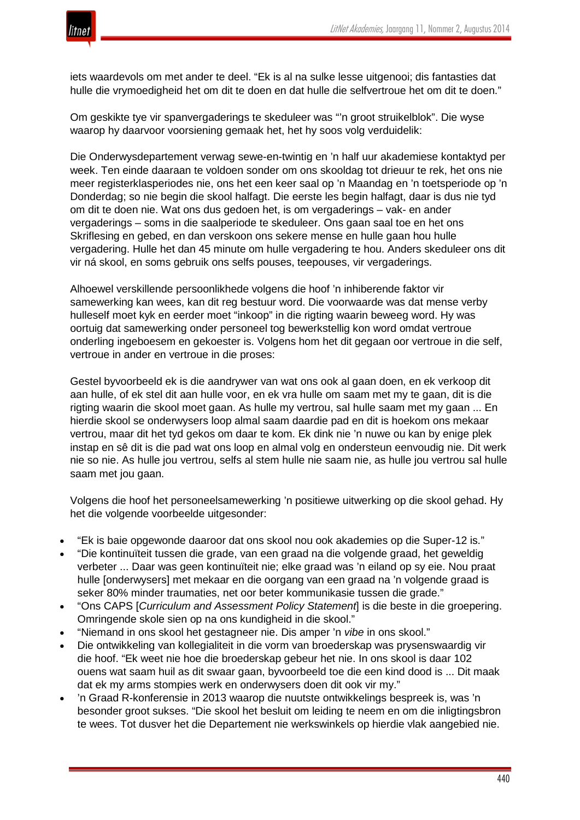

iets waardevols om met ander te deel. "Ek is al na sulke lesse uitgenooi; dis fantasties dat hulle die vrymoedigheid het om dit te doen en dat hulle die selfvertroue het om dit te doen."

Om geskikte tye vir spanvergaderings te skeduleer was "'n groot struikelblok". Die wyse waarop hy daarvoor voorsiening gemaak het, het hy soos volg verduidelik:

Die Onderwysdepartement verwag sewe-en-twintig en 'n half uur akademiese kontaktyd per week. Ten einde daaraan te voldoen sonder om ons skooldag tot drieuur te rek, het ons nie meer registerklasperiodes nie, ons het een keer saal op 'n Maandag en 'n toetsperiode op 'n Donderdag; so nie begin die skool halfagt. Die eerste les begin halfagt, daar is dus nie tyd om dit te doen nie. Wat ons dus gedoen het, is om vergaderings – vak- en ander vergaderings – soms in die saalperiode te skeduleer. Ons gaan saal toe en het ons Skriflesing en gebed, en dan verskoon ons sekere mense en hulle gaan hou hulle vergadering. Hulle het dan 45 minute om hulle vergadering te hou. Anders skeduleer ons dit vir ná skool, en soms gebruik ons selfs pouses, teepouses, vir vergaderings.

Alhoewel verskillende persoonlikhede volgens die hoof 'n inhiberende faktor vir samewerking kan wees, kan dit reg bestuur word. Die voorwaarde was dat mense verby hulleself moet kyk en eerder moet "inkoop" in die rigting waarin beweeg word. Hy was oortuig dat samewerking onder personeel tog bewerkstellig kon word omdat vertroue onderling ingeboesem en gekoester is. Volgens hom het dit gegaan oor vertroue in die self, vertroue in ander en vertroue in die proses:

Gestel byvoorbeeld ek is die aandrywer van wat ons ook al gaan doen, en ek verkoop dit aan hulle, of ek stel dit aan hulle voor, en ek vra hulle om saam met my te gaan, dit is die rigting waarin die skool moet gaan. As hulle my vertrou, sal hulle saam met my gaan ... En hierdie skool se onderwysers loop almal saam daardie pad en dit is hoekom ons mekaar vertrou, maar dit het tyd gekos om daar te kom. Ek dink nie 'n nuwe ou kan by enige plek instap en sê dit is die pad wat ons loop en almal volg en ondersteun eenvoudig nie. Dit werk nie so nie. As hulle jou vertrou, selfs al stem hulle nie saam nie, as hulle jou vertrou sal hulle saam met jou gaan.

Volgens die hoof het personeelsamewerking 'n positiewe uitwerking op die skool gehad. Hy het die volgende voorbeelde uitgesonder:

- "Ek is baie opgewonde daaroor dat ons skool nou ook akademies op die Super-12 is."
- "Die kontinuïteit tussen die grade, van een graad na die volgende graad, het geweldig verbeter ... Daar was geen kontinuïteit nie; elke graad was 'n eiland op sy eie. Nou praat hulle [onderwysers] met mekaar en die oorgang van een graad na 'n volgende graad is seker 80% minder traumaties, net oor beter kommunikasie tussen die grade."
- "Ons CAPS [*Curriculum and Assessment Policy Statement*] is die beste in die groepering. Omringende skole sien op na ons kundigheid in die skool."
- "Niemand in ons skool het gestagneer nie. Dis amper 'n *vibe* in ons skool."
- Die ontwikkeling van kollegialiteit in die vorm van broederskap was prysenswaardig vir die hoof. "Ek weet nie hoe die broederskap gebeur het nie. In ons skool is daar 102 ouens wat saam huil as dit swaar gaan, byvoorbeeld toe die een kind dood is ... Dit maak dat ek my arms stompies werk en onderwysers doen dit ook vir my."
- 'n Graad R-konferensie in 2013 waarop die nuutste ontwikkelings bespreek is, was 'n besonder groot sukses. "Die skool het besluit om leiding te neem en om die inligtingsbron te wees. Tot dusver het die Departement nie werkswinkels op hierdie vlak aangebied nie.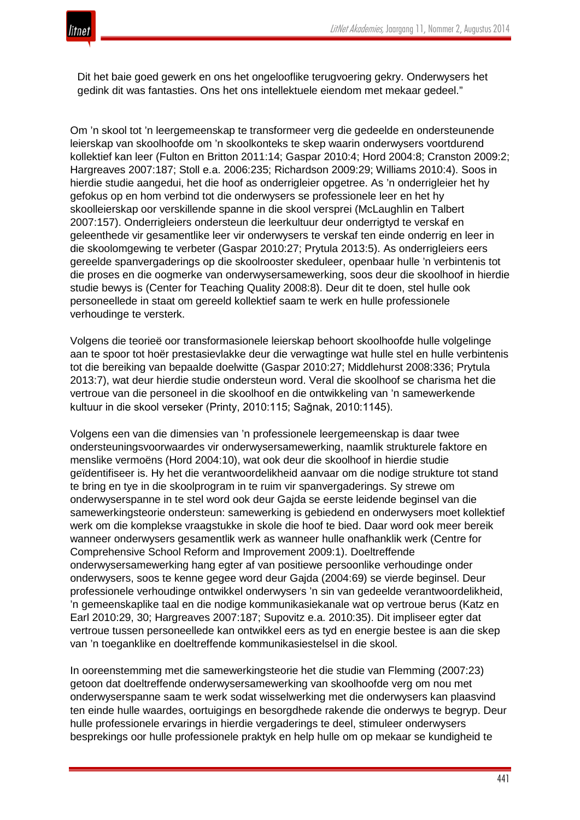

Dit het baie goed gewerk en ons het ongelooflike terugvoering gekry. Onderwysers het gedink dit was fantasties. Ons het ons intellektuele eiendom met mekaar gedeel."

Om 'n skool tot 'n leergemeenskap te transformeer verg die gedeelde en ondersteunende leierskap van skoolhoofde om 'n skoolkonteks te skep waarin onderwysers voortdurend kollektief kan leer (Fulton en Britton 2011:14; Gaspar 2010:4; Hord 2004:8; Cranston 2009:2; Hargreaves 2007:187; Stoll e.a. 2006:235; Richardson 2009:29; Williams 2010:4). Soos in hierdie studie aangedui, het die hoof as onderrigleier opgetree. As 'n onderrigleier het hy gefokus op en hom verbind tot die onderwysers se professionele leer en het hy skoolleierskap oor verskillende spanne in die skool versprei (McLaughlin en Talbert 2007:157). Onderrigleiers ondersteun die leerkultuur deur onderrigtyd te verskaf en geleenthede vir gesamentlike leer vir onderwysers te verskaf ten einde onderrig en leer in die skoolomgewing te verbeter (Gaspar 2010:27; Prytula 2013:5). As onderrigleiers eers gereelde spanvergaderings op die skoolrooster skeduleer, openbaar hulle 'n verbintenis tot die proses en die oogmerke van onderwysersamewerking, soos deur die skoolhoof in hierdie studie bewys is (Center for Teaching Quality 2008:8). Deur dit te doen, stel hulle ook personeellede in staat om gereeld kollektief saam te werk en hulle professionele verhoudinge te versterk.

Volgens die teorieë oor transformasionele leierskap behoort skoolhoofde hulle volgelinge aan te spoor tot hoër prestasievlakke deur die verwagtinge wat hulle stel en hulle verbintenis tot die bereiking van bepaalde doelwitte (Gaspar 2010:27; Middlehurst 2008:336; Prytula 2013:7), wat deur hierdie studie ondersteun word. Veral die skoolhoof se charisma het die vertroue van die personeel in die skoolhoof en die ontwikkeling van 'n samewerkende kultuur in die skool verseker (Printy, 2010:115; Sağnak, 2010:1145).

Volgens een van die dimensies van 'n professionele leergemeenskap is daar twee ondersteuningsvoorwaardes vir onderwysersamewerking, naamlik strukturele faktore en menslike vermoëns (Hord 2004:10), wat ook deur die skoolhoof in hierdie studie geïdentifiseer is. Hy het die verantwoordelikheid aanvaar om die nodige strukture tot stand te bring en tye in die skoolprogram in te ruim vir spanvergaderings. Sy strewe om onderwyserspanne in te stel word ook deur Gajda se eerste leidende beginsel van die samewerkingsteorie ondersteun: samewerking is gebiedend en onderwysers moet kollektief werk om die komplekse vraagstukke in skole die hoof te bied. Daar word ook meer bereik wanneer onderwysers gesamentlik werk as wanneer hulle onafhanklik werk (Centre for Comprehensive School Reform and Improvement 2009:1). Doeltreffende onderwysersamewerking hang egter af van positiewe persoonlike verhoudinge onder onderwysers, soos te kenne gegee word deur Gajda (2004:69) se vierde beginsel. Deur professionele verhoudinge ontwikkel onderwysers 'n sin van gedeelde verantwoordelikheid, 'n gemeenskaplike taal en die nodige kommunikasiekanale wat op vertroue berus (Katz en Earl 2010:29, 30; Hargreaves 2007:187; Supovitz e.a. 2010:35). Dit impliseer egter dat vertroue tussen personeellede kan ontwikkel eers as tyd en energie bestee is aan die skep van 'n toeganklike en doeltreffende kommunikasiestelsel in die skool.

In ooreenstemming met die samewerkingsteorie het die studie van Flemming (2007:23) getoon dat doeltreffende onderwysersamewerking van skoolhoofde verg om nou met onderwyserspanne saam te werk sodat wisselwerking met die onderwysers kan plaasvind ten einde hulle waardes, oortuigings en besorgdhede rakende die onderwys te begryp. Deur hulle professionele ervarings in hierdie vergaderings te deel, stimuleer onderwysers besprekings oor hulle professionele praktyk en help hulle om op mekaar se kundigheid te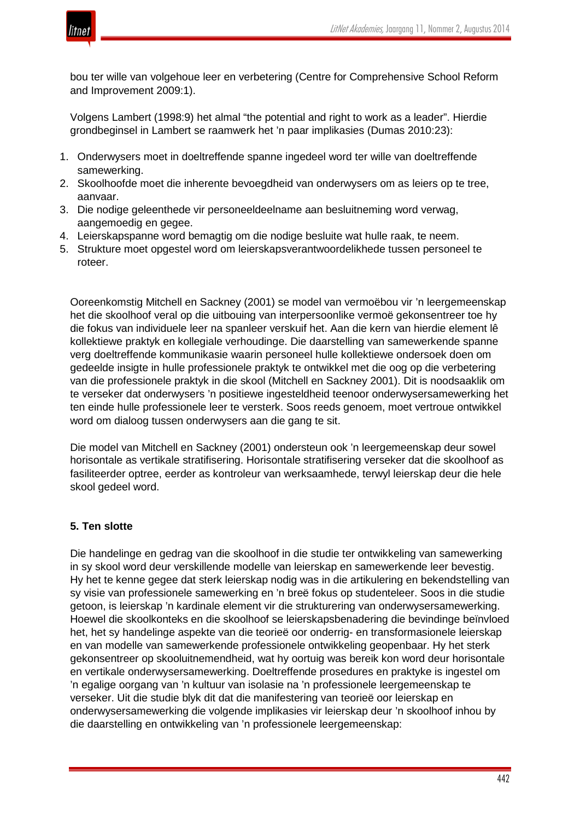

bou ter wille van volgehoue leer en verbetering (Centre for Comprehensive School Reform and Improvement 2009:1).

Volgens Lambert (1998:9) het almal "the potential and right to work as a leader". Hierdie grondbeginsel in Lambert se raamwerk het 'n paar implikasies (Dumas 2010:23):

- 1. Onderwysers moet in doeltreffende spanne ingedeel word ter wille van doeltreffende samewerking.
- 2. Skoolhoofde moet die inherente bevoegdheid van onderwysers om as leiers op te tree, aanvaar.
- 3. Die nodige geleenthede vir personeeldeelname aan besluitneming word verwag, aangemoedig en gegee.
- 4. Leierskapspanne word bemagtig om die nodige besluite wat hulle raak, te neem.
- 5. Strukture moet opgestel word om leierskapsverantwoordelikhede tussen personeel te roteer.

Ooreenkomstig Mitchell en Sackney (2001) se model van vermoëbou vir 'n leergemeenskap het die skoolhoof veral op die uitbouing van interpersoonlike vermoë gekonsentreer toe hy die fokus van individuele leer na spanleer verskuif het. Aan die kern van hierdie element lê kollektiewe praktyk en kollegiale verhoudinge. Die daarstelling van samewerkende spanne verg doeltreffende kommunikasie waarin personeel hulle kollektiewe ondersoek doen om gedeelde insigte in hulle professionele praktyk te ontwikkel met die oog op die verbetering van die professionele praktyk in die skool (Mitchell en Sackney 2001). Dit is noodsaaklik om te verseker dat onderwysers 'n positiewe ingesteldheid teenoor onderwysersamewerking het ten einde hulle professionele leer te versterk. Soos reeds genoem, moet vertroue ontwikkel word om dialoog tussen onderwysers aan die gang te sit.

Die model van Mitchell en Sackney (2001) ondersteun ook 'n leergemeenskap deur sowel horisontale as vertikale stratifisering. Horisontale stratifisering verseker dat die skoolhoof as fasiliteerder optree, eerder as kontroleur van werksaamhede, terwyl leierskap deur die hele skool gedeel word.

## **5. Ten slotte**

Die handelinge en gedrag van die skoolhoof in die studie ter ontwikkeling van samewerking in sy skool word deur verskillende modelle van leierskap en samewerkende leer bevestig. Hy het te kenne gegee dat sterk leierskap nodig was in die artikulering en bekendstelling van sy visie van professionele samewerking en 'n breë fokus op studenteleer. Soos in die studie getoon, is leierskap 'n kardinale element vir die strukturering van onderwysersamewerking. Hoewel die skoolkonteks en die skoolhoof se leierskapsbenadering die bevindinge beïnvloed het, het sy handelinge aspekte van die teorieë oor onderrig- en transformasionele leierskap en van modelle van samewerkende professionele ontwikkeling geopenbaar. Hy het sterk gekonsentreer op skooluitnemendheid, wat hy oortuig was bereik kon word deur horisontale en vertikale onderwysersamewerking. Doeltreffende prosedures en praktyke is ingestel om 'n egalige oorgang van 'n kultuur van isolasie na 'n professionele leergemeenskap te verseker. Uit die studie blyk dit dat die manifestering van teorieë oor leierskap en onderwysersamewerking die volgende implikasies vir leierskap deur 'n skoolhoof inhou by die daarstelling en ontwikkeling van 'n professionele leergemeenskap: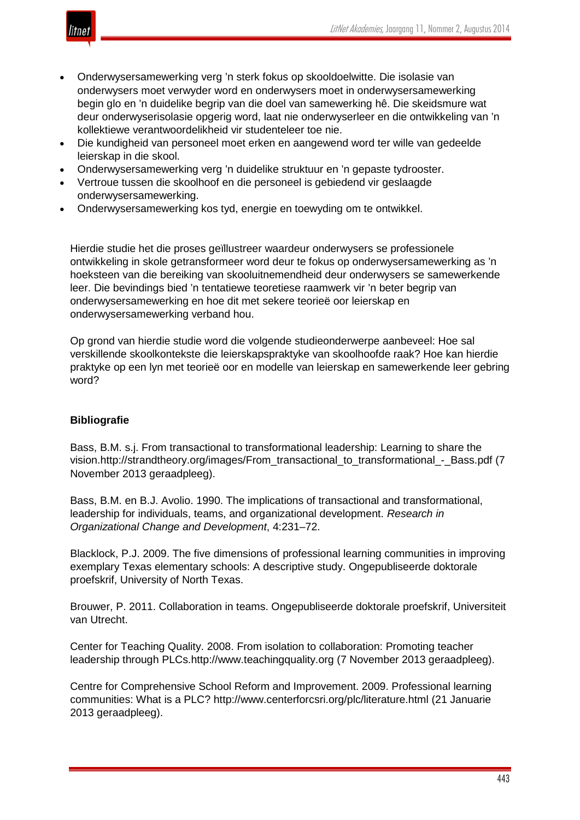

- Onderwysersamewerking verg 'n sterk fokus op skooldoelwitte. Die isolasie van onderwysers moet verwyder word en onderwysers moet in onderwysersamewerking begin glo en 'n duidelike begrip van die doel van samewerking hê. Die skeidsmure wat deur onderwyserisolasie opgerig word, laat nie onderwyserleer en die ontwikkeling van 'n kollektiewe verantwoordelikheid vir studenteleer toe nie.
- Die kundigheid van personeel moet erken en aangewend word ter wille van gedeelde leierskap in die skool.
- Onderwysersamewerking verg 'n duidelike struktuur en 'n gepaste tydrooster.
- Vertroue tussen die skoolhoof en die personeel is gebiedend vir geslaagde onderwysersamewerking.
- Onderwysersamewerking kos tyd, energie en toewyding om te ontwikkel.

Hierdie studie het die proses geïllustreer waardeur onderwysers se professionele ontwikkeling in skole getransformeer word deur te fokus op onderwysersamewerking as 'n hoeksteen van die bereiking van skooluitnemendheid deur onderwysers se samewerkende leer. Die bevindings bied 'n tentatiewe teoretiese raamwerk vir 'n beter begrip van onderwysersamewerking en hoe dit met sekere teorieë oor leierskap en onderwysersamewerking verband hou.

Op grond van hierdie studie word die volgende studieonderwerpe aanbeveel: Hoe sal verskillende skoolkontekste die leierskapspraktyke van skoolhoofde raak? Hoe kan hierdie praktyke op een lyn met teorieë oor en modelle van leierskap en samewerkende leer gebring word?

## **Bibliografie**

Bass, B.M. s.j. From transactional to transformational leadership: Learning to share the vision.http://strandtheory.org/images/From\_transactional\_to\_transformational\_-\_Bass.pdf (7 November 2013 geraadpleeg).

Bass, B.M. en B.J. Avolio. 1990. The implications of transactional and transformational, leadership for individuals, teams, and organizational development. *Research in Organizational Change and Development*, 4:231–72.

Blacklock, P.J. 2009. The five dimensions of professional learning communities in improving exemplary Texas elementary schools: A descriptive study. Ongepubliseerde doktorale proefskrif, University of North Texas.

Brouwer, P. 2011. Collaboration in teams. Ongepubliseerde doktorale proefskrif, Universiteit van Utrecht.

Center for Teaching Quality. 2008. From isolation to collaboration: Promoting teacher leadership through PLCs.http://www.teachingquality.org (7 November 2013 geraadpleeg).

Centre for Comprehensive School Reform and Improvement. 2009. Professional learning communities: What is a PLC? http://www.centerforcsri.org/plc/literature.html (21 Januarie 2013 geraadpleeg).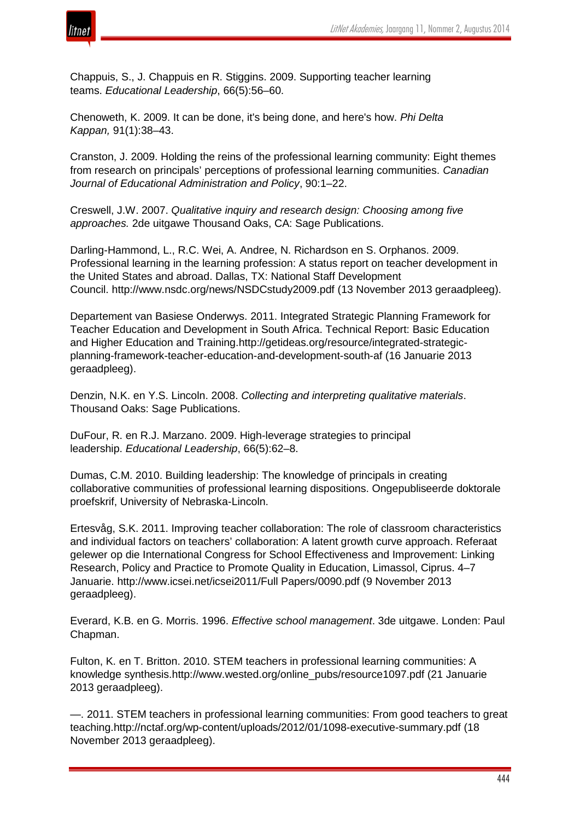

Chappuis, S., J. Chappuis en R. Stiggins. 2009. Supporting teacher learning teams. *Educational Leadership*, 66(5):56–60.

Chenoweth, K. 2009. It can be done, it's being done, and here's how. *Phi Delta Kappan,* 91(1):38–43.

Cranston, J. 2009. Holding the reins of the professional learning community: Eight themes from research on principals' perceptions of professional learning communities. *Canadian Journal of Educational Administration and Policy*, 90:1–22.

Creswell, J.W. 2007. *Qualitative inquiry and research design: Choosing among five approaches.* 2de uitgawe Thousand Oaks, CA: Sage Publications.

Darling-Hammond, L., R.C. Wei, A. Andree, N. Richardson en S. Orphanos. 2009. Professional learning in the learning profession: A status report on teacher development in the United States and abroad. Dallas, TX: National Staff Development Council. http://www.nsdc.org/news/NSDCstudy2009.pdf (13 November 2013 geraadpleeg).

Departement van Basiese Onderwys. 2011. Integrated Strategic Planning Framework for Teacher Education and Development in South Africa. Technical Report: Basic Education and Higher Education and Training.http://getideas.org/resource/integrated-strategicplanning-framework-teacher-education-and-development-south-af (16 Januarie 2013 geraadpleeg).

Denzin, N.K. en Y.S. Lincoln. 2008. *Collecting and interpreting qualitative materials*. Thousand Oaks: Sage Publications.

DuFour, R. en R.J. Marzano. 2009. High-leverage strategies to principal leadership. *Educational Leadership*, 66(5):62–8.

Dumas, C.M. 2010. Building leadership: The knowledge of principals in creating collaborative communities of professional learning dispositions. Ongepubliseerde doktorale proefskrif, University of Nebraska-Lincoln.

Ertesvåg, S.K. 2011. Improving teacher collaboration: The role of classroom characteristics and individual factors on teachers' collaboration: A latent growth curve approach. Referaat gelewer op die International Congress for School Effectiveness and Improvement: Linking Research, Policy and Practice to Promote Quality in Education, Limassol, Ciprus. 4–7 Januarie. http://www.icsei.net/icsei2011/Full Papers/0090.pdf (9 November 2013 geraadpleeg).

Everard, K.B. en G. Morris. 1996. *Effective school management*. 3de uitgawe. Londen: Paul Chapman.

Fulton, K. en T. Britton. 2010. STEM teachers in professional learning communities: A knowledge synthesis.http://www.wested.org/online\_pubs/resource1097.pdf (21 Januarie 2013 geraadpleeg).

—. 2011. STEM teachers in professional learning communities: From good teachers to great teaching.http://nctaf.org/wp-content/uploads/2012/01/1098-executive-summary.pdf (18 November 2013 geraadpleeg).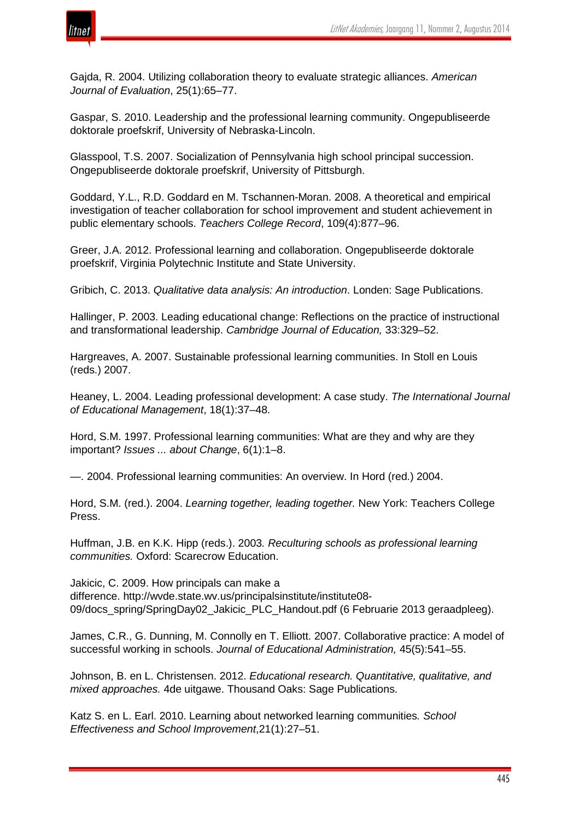

Gajda, R. 2004. Utilizing collaboration theory to evaluate strategic alliances. *American Journal of Evaluation*, 25(1):65–77.

Gaspar, S. 2010. Leadership and the professional learning community. Ongepubliseerde doktorale proefskrif, University of Nebraska-Lincoln.

Glasspool, T.S. 2007. Socialization of Pennsylvania high school principal succession. Ongepubliseerde doktorale proefskrif, University of Pittsburgh.

Goddard, Y.L., R.D. Goddard en M. Tschannen-Moran. 2008. A theoretical and empirical investigation of teacher collaboration for school improvement and student achievement in public elementary schools. *Teachers College Record*, 109(4):877–96.

Greer, J.A. 2012. Professional learning and collaboration. Ongepubliseerde doktorale proefskrif, Virginia Polytechnic Institute and State University.

Gribich, C. 2013. *Qualitative data analysis: An introduction*. Londen: Sage Publications.

Hallinger, P. 2003. Leading educational change: Reflections on the practice of instructional and transformational leadership. *Cambridge Journal of Education,* 33:329–52.

Hargreaves, A. 2007. Sustainable professional learning communities. In Stoll en Louis (reds.) 2007.

Heaney, L. 2004. Leading professional development: A case study. *The International Journal of Educational Management*, 18(1):37–48.

Hord, S.M. 1997. Professional learning communities: What are they and why are they important? *Issues ... about Change*, 6(1):1–8.

—. 2004. Professional learning communities: An overview. In Hord (red.) 2004.

Hord, S.M. (red.). 2004. *Learning together, leading together.* New York: Teachers College Press.

Huffman, J.B. en K.K. Hipp (reds.). 2003*. Reculturing schools as professional learning communities.* Oxford: Scarecrow Education.

Jakicic, C. 2009. How principals can make a difference. http://wvde.state.wv.us/principalsinstitute/institute08- 09/docs\_spring/SpringDay02\_Jakicic\_PLC\_Handout.pdf (6 Februarie 2013 geraadpleeg).

James, C.R., G. Dunning, M. Connolly en T. Elliott. 2007. Collaborative practice: A model of successful working in schools. *Journal of Educational Administration,* 45(5):541–55.

Johnson, B. en L. Christensen. 2012. *Educational research. Quantitative, qualitative, and mixed approaches.* 4de uitgawe. Thousand Oaks: Sage Publications.

Katz S. en L. Earl. 2010. Learning about networked learning communities*. School Effectiveness and School Improvement*,21(1):27–51.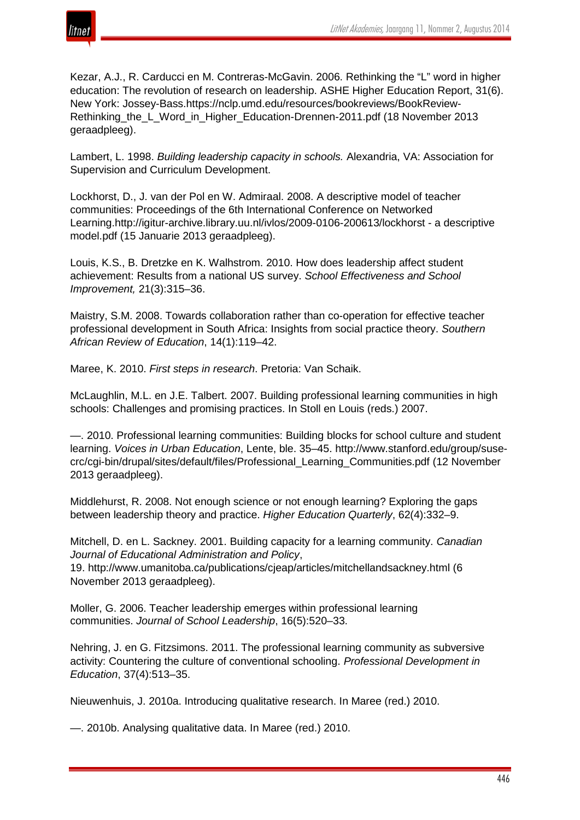

Kezar, A.J., R. Carducci en M. Contreras-McGavin. 2006. Rethinking the "L" word in higher education: The revolution of research on leadership. ASHE Higher Education Report, 31(6). New York: Jossey-Bass.https://nclp.umd.edu/resources/bookreviews/BookReview-Rethinking the L Word in Higher Education-Drennen-2011.pdf (18 November 2013 geraadpleeg).

Lambert, L. 1998. *Building leadership capacity in schools.* Alexandria, VA: Association for Supervision and Curriculum Development.

Lockhorst, D., J. van der Pol en W. Admiraal. 2008. A descriptive model of teacher communities: Proceedings of the 6th International Conference on Networked Learning.http://igitur-archive.library.uu.nl/ivlos/2009-0106-200613/lockhorst - a descriptive model.pdf (15 Januarie 2013 geraadpleeg).

Louis, K.S., B. Dretzke en K. Walhstrom. 2010. How does leadership affect student achievement: Results from a national US survey. *School Effectiveness and School Improvement,* 21(3):315–36.

Maistry, S.M. 2008. Towards collaboration rather than co-operation for effective teacher professional development in South Africa: Insights from social practice theory. *Southern African Review of Education*, 14(1):119–42.

Maree, K. 2010. *First steps in research*. Pretoria: Van Schaik.

McLaughlin, M.L. en J.E. Talbert. 2007. Building professional learning communities in high schools: Challenges and promising practices. In Stoll en Louis (reds.) 2007.

—. 2010. Professional learning communities: Building blocks for school culture and student learning. *Voices in Urban Education*, Lente, ble. 35–45. http://www.stanford.edu/group/susecrc/cgi-bin/drupal/sites/default/files/Professional\_Learning\_Communities.pdf (12 November 2013 geraadpleeg).

Middlehurst, R. 2008. Not enough science or not enough learning? Exploring the gaps between leadership theory and practice. *Higher Education Quarterly*, 62(4):332–9.

Mitchell, D. en L. Sackney. 2001. Building capacity for a learning community. *Canadian Journal of Educational Administration and Policy*,

19. http://www.umanitoba.ca/publications/cjeap/articles/mitchellandsackney.html (6 November 2013 geraadpleeg).

Moller, G. 2006. Teacher leadership emerges within professional learning communities. *Journal of School Leadership*, 16(5):520–33.

Nehring, J. en G. Fitzsimons. 2011. The professional learning community as subversive activity: Countering the culture of conventional schooling. *Professional Development in Education*, 37(4):513–35.

Nieuwenhuis, J. 2010a. Introducing qualitative research. In Maree (red.) 2010.

—. 2010b. Analysing qualitative data. In Maree (red.) 2010.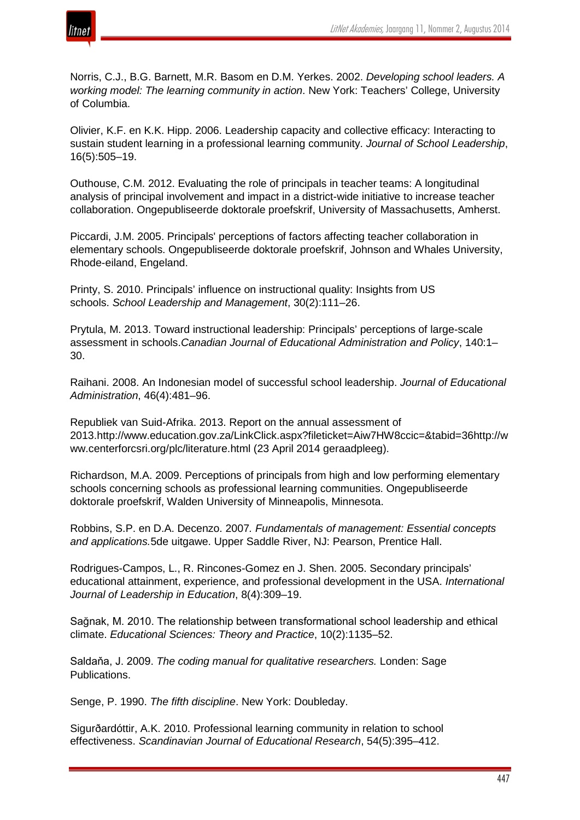

Norris, C.J., B.G. Barnett, M.R. Basom en D.M. Yerkes. 2002. *Developing school leaders. A working model: The learning community in action*. New York: Teachers' College, University of Columbia.

Olivier, K.F. en K.K. Hipp. 2006. Leadership capacity and collective efficacy: Interacting to sustain student learning in a professional learning community. *Journal of School Leadership*, 16(5):505–19.

Outhouse, C.M. 2012. Evaluating the role of principals in teacher teams: A longitudinal analysis of principal involvement and impact in a district-wide initiative to increase teacher collaboration. Ongepubliseerde doktorale proefskrif, University of Massachusetts, Amherst.

Piccardi, J.M. 2005. Principals' perceptions of factors affecting teacher collaboration in elementary schools. Ongepubliseerde doktorale proefskrif, Johnson and Whales University, Rhode-eiland, Engeland.

Printy, S. 2010. Principals' influence on instructional quality: Insights from US schools. *School Leadership and Management*, 30(2):111–26.

Prytula, M. 2013. Toward instructional leadership: Principals' perceptions of large-scale assessment in schools.*Canadian Journal of Educational Administration and Policy*, 140:1– 30.

Raihani. 2008. An Indonesian model of successful school leadership. *Journal of Educational Administration*, 46(4):481–96.

Republiek van Suid-Afrika. 2013. Report on the annual assessment of 2013.http://www.education.gov.za/LinkClick.aspx?fileticket=Aiw7HW8ccic=&tabid=36http://w ww.centerforcsri.org/plc/literature.html (23 April 2014 geraadpleeg).

Richardson, M.A. 2009. Perceptions of principals from high and low performing elementary schools concerning schools as professional learning communities. Ongepubliseerde doktorale proefskrif, Walden University of Minneapolis, Minnesota.

Robbins, S.P. en D.A. Decenzo. 2007*. Fundamentals of management: Essential concepts and applications.*5de uitgawe. Upper Saddle River, NJ: Pearson, Prentice Hall.

Rodrigues-Campos, L., R. Rincones-Gomez en J. Shen. 2005. Secondary principals' educational attainment, experience, and professional development in the USA. *International Journal of Leadership in Education*, 8(4):309–19.

Sağnak, M. 2010. The relationship between transformational school leadership and ethical climate. *Educational Sciences: Theory and Practice*, 10(2):1135–52.

Saldaňa, J. 2009. *The coding manual for qualitative researchers.* Londen: Sage Publications.

Senge, P. 1990. *The fifth discipline*. New York: Doubleday.

Sigurðardóttir, A.K. 2010. Professional learning community in relation to school effectiveness. *Scandinavian Journal of Educational Research*, 54(5):395–412.